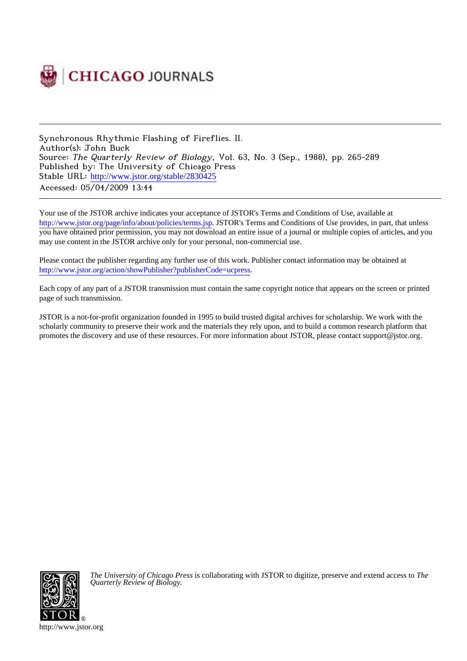

Synchronous Rhythmic Flashing of Fireflies. II. Author(s): John Buck Source: The Quarterly Review of Biology, Vol. 63, No. 3 (Sep., 1988), pp. 265-289 Published by: The University of Chicago Press Stable URL: [http://www.jstor.org/stable/2830425](http://www.jstor.org/stable/2830425?origin=JSTOR-pdf) Accessed: 05/04/2009 13:44

Your use of the JSTOR archive indicates your acceptance of JSTOR's Terms and Conditions of Use, available at <http://www.jstor.org/page/info/about/policies/terms.jsp>. JSTOR's Terms and Conditions of Use provides, in part, that unless you have obtained prior permission, you may not download an entire issue of a journal or multiple copies of articles, and you may use content in the JSTOR archive only for your personal, non-commercial use.

Please contact the publisher regarding any further use of this work. Publisher contact information may be obtained at [http://www.jstor.org/action/showPublisher?publisherCode=ucpress.](http://www.jstor.org/action/showPublisher?publisherCode=ucpress)

Each copy of any part of a JSTOR transmission must contain the same copyright notice that appears on the screen or printed page of such transmission.

JSTOR is a not-for-profit organization founded in 1995 to build trusted digital archives for scholarship. We work with the scholarly community to preserve their work and the materials they rely upon, and to build a common research platform that promotes the discovery and use of these resources. For more information about JSTOR, please contact support@jstor.org.



*The University of Chicago Press* is collaborating with JSTOR to digitize, preserve and extend access to *The Quarterly Review of Biology.*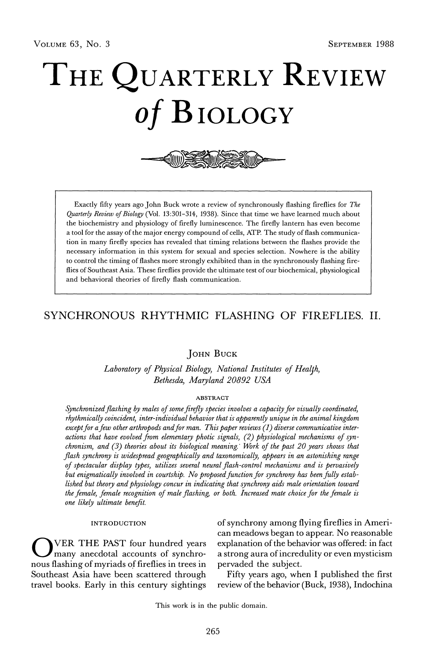# THE QUARTERLY REVIEW of BIOLOGY



Exactly fifty years ago John Buck wrote a review of synchronously flashing fireflies for The Quarterly Review of Biology (Vol. 13:301-314, 1938). Since that time we have learned much about the biochemistry and physiology of firefly luminescence. The firefly lantern has even become a tool for the assay of the major energy compound of cells, ATP. The study of flash communication in many firefly species has revealed that timing relations between the flashes provide the necessary information in this system for sexual and species selection. Nowhere is the ability to control the timing of flashes more strongly exhibited than in the synchronously flashing fireflies of Southeast Asia. These fireflies provide the ultimate test of our biochemical, physiological and behavioral theories of firefly flash communication.

## SYNCHRONOUS RHYTHMIC FLASHING OF FIREFLIES. II.

JOHN BUCK

Laboratory of Physical Biology, National Institutes of Health, Bethesda, Maryland 20892 USA

## **ABSTRACT**

Synchronized flashing by males of some firefly species involves a capacity for visually coordinated, rhythmically coincident, inter-individual behavior that is apparently unique in the animal kingdom except for a few other arthropods and for man. This paper reviews  $(1)$  diverse communicative interactions that have evolved from elementary photic signals, (2) physiological mechanisms of synchronism, and (3) theories about its biological meaning. Work of the past 20 years shows that flash synchrony is widespread geographically and taxonomically, appears in an astonishing range of spectacular display types, utilizes several neural flash-control mechanisms and is pervasively but enigmatically involved in courtship. No proposed function for synchrony has been fully established but theory and physiology concur in indicating that synchrony aids male orientation toward the female, female recognition of male flashing, or both. Increased mate choice for the female is one likely ultimate benefit.

## **INTRODUCTION**

VER THE PAST four hundred years many anecdotal accounts of synchronous flashing of myriads of fireflies in trees in Southeast Asia have been scattered through travel books. Early in this century sightings

of synchrony among flying fireflies in American meadows began to appear. No reasonable explanation of the behavior was offered: in fact a strong aura of incredulity or even mysticism pervaded the subject.

Fifty years ago, when I published the first review of the behavior (Buck, 1938), Indochina

This work is in the public domain.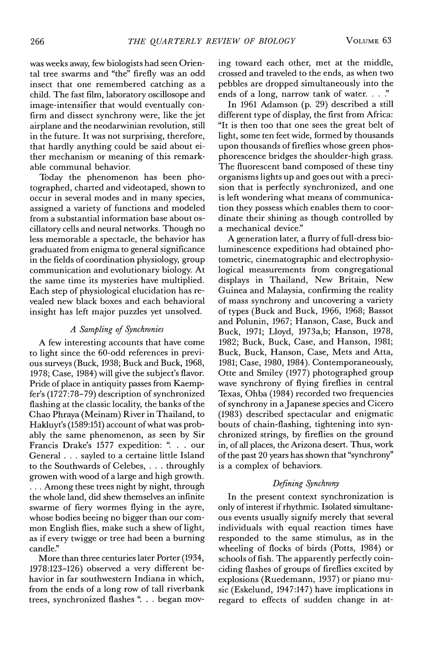was weeks away, few biologists had seen Oriental tree swarms and "the" firefly was an odd insect that one remembered catching as a child. The fast film, laboratory oscillosope and image-intensifier that would eventually confirm and dissect synchrony were, like the jet airplane and the neodarwinian revolution, still in the future. It was not surprising, therefore, that hardly anything could be said about either mechanism or meaning of this remark-

able communal behavior. Today the phenomenon has been photographed, charted and videotaped, shown to occur in several modes and in many species, assigned a variety of functions and modeled from a substantial information base about oscillatory cells and neural networks. Though no less memorable a spectacle, the behavior has graduated from enigma to general significance in the fields of coordination physiology, group communication and evolutionary biology. At the same time its mysteries have multiplied. Each step of physiological elucidation has revealed new black boxes and each behavioral insight has left major puzzles yet unsolved.

#### A Sampling of Synchronies

A few interesting accounts that have come to light since the 60-odd references in previous surveys (Buck, 1938; Buck and Buck, 1968, 1978; Case, 1984) will give the subject's flavor. Pride of place in antiquity passes from Kaempfer's (1727:78-79) description of synchronized flashing at the classic locality, the banks of the Chao Phraya (Meinam) River in Thailand, to Hakluyt's (1589:151) account of what was probably the same phenomenon, as seen by Sir Francis Drake's 1577 expedition: ". . . our General . . . sayled to a certaine little Island to the Southwards of Celebes, . . . throughly growen with wood of a large and high growth. ... Among these trees night by night, through the whole land, did shew themselves an infinite swarme of fiery wormes flying in the ayre, whose bodies beeing no bigger than our common English flies, make such a shew of light, as if every twigge or tree had been a burning candle."

More than three centuries later Porter (1934, 1978:123-126) observed a very different behavior in far southwestern Indiana in which, from the ends of a long row of tall riverbank trees, synchronized flashes ". . . began moving toward each other, met at the middle, crossed and traveled to the ends, as when two pebbles are dropped simultaneously into the ends of a long, narrow tank of water. . . ."

In 1961 Adamson (p. 29) described a still different type of display, the first from Africa: "It is then too that one sees the great belt of light, some ten feet wide, formed by thousands upon thousands of fireflies whose green phosphorescence bridges the shoulder-high grass. The fluorescent band composed of these tiny organisms lights up and goes out with a precision that is perfectly synchronized, and one is left wondering what means of communication they possess which enables them to coordinate their shining as though controlled by a mechanical device."

A generation later, a flurry of full-dress bioluminescence expeditions had obtained photometric, cinematographic and electrophysiological measurements from congregational displays in Thailand, New Britain, New Guinea and Malaysia, confirming the reality of mass synchrony and uncovering a variety of types (Buck and Buck, 1966, 1968; Bassot and Polunin, 1967; Hanson, Case, Buck and Buck, 1971; Lloyd, 1973a,b; Hanson, 1978, 1982; Buck, Buck, Case, and Hanson, 1981; Buck, Buck, Hanson, Case, Mets and Atta, 1981; Case, 1980, 1984). Contemporaneously, Otte and Smiley (1977) photographed group wave synchrony of flying fireflies in central Texas, Ohba (1984) recorded two frequencies of synchrony in a Japanese species and Cicero (1983) described spectacular and enigmatic bouts of chain-flashing, tightening into synchronized strings, by fireflies on the ground in, of all places, the Arizona desert. Thus, work of the past 20 years has shown that "synchrony" is a complex of behaviors.

## Defining Synchrony

In the present context synchronization is only of interest if rhythmic. Isolated simultaneous events usually signify merely that several individuals with equal reaction times have responded to the same stimulus, as in the wheeling of flocks of birds (Potts, 1984) or schools of fish. The apparently perfectly coinciding flashes of groups of fireflies excited by explosions (Ruedemann, 1937) or piano music (Eskelund, 1947:147) have implications in regard to effects of sudden change in at-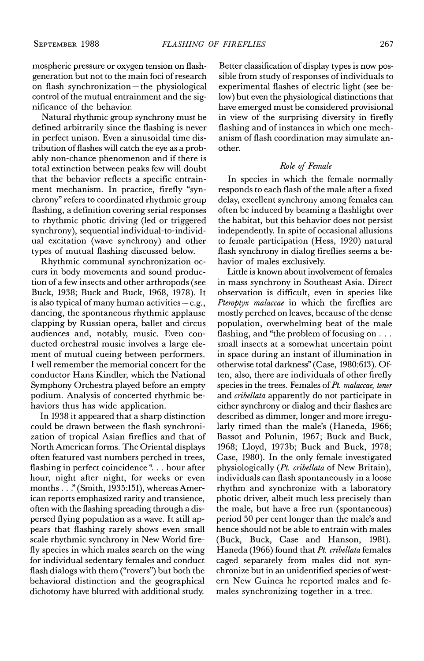mospheric pressure or oxygen tension on flashgeneration but not to the main foci of research on flash synchronization-the physiological control of the mutual entrainment and the significance of the behavior.

Natural rhythmic group synchrony must be defined arbitrarily since the flashing is never in perfect unison. Even a sinusoidal time distribution of flashes will catch the eye as a probably non-chance phenomenon and if there is total extinction between peaks few will doubt that the behavior reflects a specific entrainment mechanism. In practice, firefly "synchrony" refers to coordinated rhythmic group flashing, a definition covering serial responses to rhythmic photic driving (led or triggered synchrony), sequential individual-to-individual excitation (wave synchrony) and other types of mutual flashing discussed below.

Rhythmic communal synchronization occurs in body movements and sound production of a few insects and other arthropods (see Buck, 1938; Buck and Buck, 1968, 1978). It is also typical of many human activities  $-e.g.,$ dancing, the spontaneous rhythmic applause clapping by Russian opera, ballet and circus audiences and, notably, music. Even conducted orchestral music involves a large element of mutual cueing between performers. I well remember the memorial concert for the conductor Hans Kindler, which the National Symphony Orchestra played before an empty podium. Analysis of concerted rhythmic behaviors thus has wide application.

In 1938 it appeared that a sharp distinction could be drawn between the flash synchronization of tropical Asian fireflies and that of North American forms. The Oriental displays often featured vast numbers perched in trees, flashing in perfect coincidence ". . . hour after hour, night after night, for weeks or even months . . . " (Smith, 1935:151), whereas American reports emphasized rarity and transience, often with the flashing spreading through a dispersed flying population as a wave. It still appears that flashing rarely shows even small scale rhythmic synchrony in New World firefly species in which males search on the wing for individual sedentary females and conduct flash dialogs with them ("rovers") but both the behavioral distinction and the geographical dichotomy have blurred with additional study.

Better classification of display types is now possible from study of responses of individuals to experimental flashes of electric light (see below) but even the physiological distinctions that have emerged must be considered provisional in view of the surprising diversity in firefly flashing and of instances in which one mechanism of flash coordination may simulate another.

## Role of Female

In species in which the female normally responds to each flash of the male after a fixed delay, excellent synchrony among females can often be induced by beaming a flashlight over the habitat, but this behavior does not persist independently. In spite of occasional allusions to female participation (Hess, 1920) natural flash synchrony in dialog fireflies seems a behavior of males exclusively.

Little is known about involvement of females in mass synchrony in Southeast Asia. Direct observation is difficult, even in species like Pteroptyx malaccae in which the fireflies are mostly perched on leaves, because of the dense population, overwhelming beat of the male flashing, and "the problem of focusing on  $\dots$ small insects at a somewhat uncertain point in space during an instant of illumination in otherwise total darkness" (Case, 1980:613). Often, also, there are individuals of other firefly species in the trees. Females of Pt. malaccae, tener and cribellata apparently do not participate in either synchrony or dialog and their flashes are described as dimmer, longer and more irregularly timed than the male's (Haneda, 1966; Bassot and Polunin, 1967; Buck and Buck, 1968; Lloyd, 1973b; Buck and Buck, 1978; Case, 1980). In the only female investigated physiologically (Pt. cribellata of New Britain), individuals can flash spontaneously in a loose rhythm and synchronize with a laboratory photic driver, albeit much less precisely than the male, but have a free run (spontaneous) period 50 per cent longer than the male's and hence should not be able to entrain with males (Buck, Buck, Case and Hanson, 1981). Haneda (1966) found that Pt. cribellata females caged separately from males did not synchronize but in an unidentified species of western New Guinea he reported males and females synchronizing together in a tree.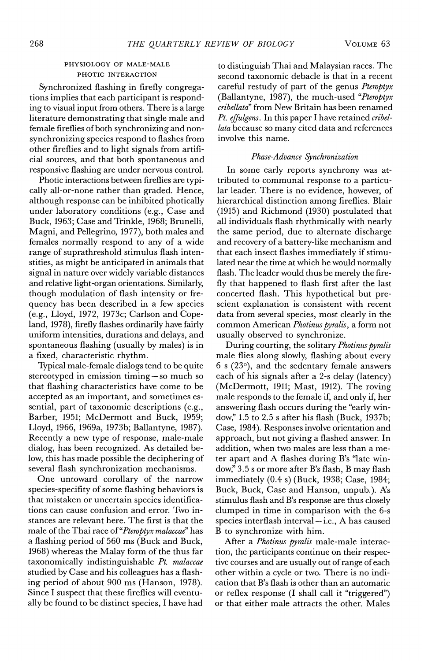## PHYSIOLOGY OF MALE-MALE PHOTIC INTERACTION

Synchronized flashing in firefly congregations implies that each participant is responding to visual input from others. There is a large literature demonstrating that single male and female fireflies of both synchronizing and nonsynchronizing species respond to flashes from other fireflies and to light signals from artificial sources, and that both spontaneous and responsive flashing are under nervous control.

Photic interactions between fireflies are typically all-or-none rather than graded. Hence, although response can be inhibited photically under laboratory conditions (e.g., Case and Buck, 1963; Case and Trinkle, 1968; Brunelli, Magni, and Pellegrino, 1977), both males and females normally respond to any of a wide range of suprathreshold stimulus flash intenstities, as might be anticipated in animals that signal in nature over widely variable distances and relative light-organ orientations. Similarly, though modulation of flash intensity or frequency has been described in a few species (e.g., Lloyd, 1972, 1973c; Carlson and Copeland, 1978), firefly flashes ordinarily have fairly uniform intensities, durations and delays, and spontaneous flashing (usually by males) is in a fixed, characteristic rhythm.

Typical male-female dialogs tend to be quite stereotyped in emission timing-so much so that flashing characteristics have come to be accepted as an important, and sometimes essential, part of taxonomic descriptions (e.g., Barber, 1951; McDermott and Buck, 1959; Lloyd, 1966, 1969a, 1973b; Ballantyne, 1987). Recently a new type of response, male-male dialog, has been recognized. As detailed below, this has made possible the deciphering of several flash synchronization mechanisms.

One untoward corollary of the narrow species-specifity of some flashing behaviors is that mistaken or uncertain species identifications can cause confusion and error. Two instances are relevant here. The first is that the male of the Thai race of "Pteroptyx malaccae" has a flashing period of 560 ms (Buck and Buck, 1968) whereas the Malay form of the thus far taxonomically indistinguishable Pt. malaccae studied by Case and his colleagues has a flashing period of about 900 ms (Hanson, 1978). Since I suspect that these fireflies will eventually be found to be distinct species, I have had to distinguish Thai and Malaysian races. The second taxonomic debacle is that in a recent careful restudy of part of the genus Pteroptyx (Ballantyne, 1987), the much-used "Pteroptyx" cribellata" from New Britain has been renamed Pt. effulgens. In this paper I have retained cribellata because so many cited data and references involve this name.

## Phase-Advance Synchronization

In some early reports synchrony was attributed to communal response to a particular leader. There is no evidence, however, of hierarchical distinction among fireflies. Blair (1915) and Richmond (1930) postulated that all individuals flash rhythmically with nearly the same period, due to alternate discharge and recovery of a battery-like mechanism and that each insect flashes immediately if stimulated near the time at which he would normally flash. The leader would thus be merely the firefly that happened to flash first after the last concerted flash. This hypothetical but prescient explanation is consistent with recent data from several species, most clearly in the common American Photinus pyralis, a form not usually observed to synchronize.

During courting, the solitary Photinus pyralis male flies along slowly, flashing about every  $6 s (23<sup>o</sup>)$ , and the sedentary female answers each of his signals after a 2-s delay (latency) (McDermott, 1911; Mast, 1912). The roving male responds to the female if, and only if, her answering flash occurs during the "early window," 1.5 to 2.5 s after his flash (Buck, 1937b; Case, 1984). Responses involve orientation and approach, but not giving a flashed answer. In addition, when two males are less than a meter apart and A flashes during B's "late window," 3.5 s or more after B's flash, B may flash immediately (0.4 s) (Buck, 1938; Case, 1984; Buck, Buck, Case and Hanson, unpub.). A's stimulus flash and B's response are thus closely clumped in time in comparison with the 6-s species interflash interval-i.e., A has caused B to synchronize with him.

After a Photinus pyralis male-male interaction, the participants continue on their respective courses and are usually out of range of each other within a cycle or two. There is no indication that B's flash is other than an automatic or reflex response (I shall call it "triggered") or that either male attracts the other. Males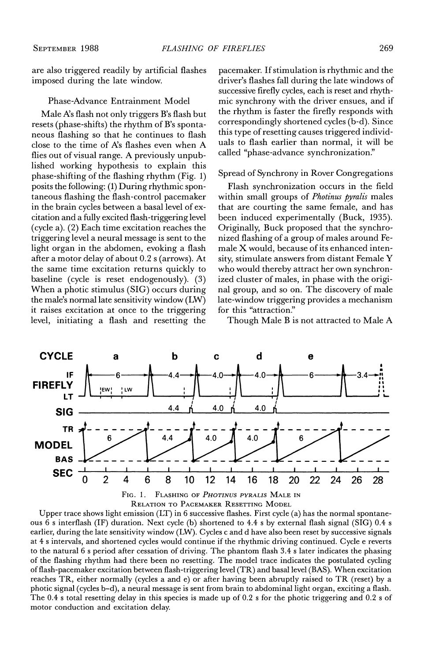are also triggered readily by artificial flashes imposed during the late window.

#### Phase-Advance Entrainment Model

Male A's flash not only triggers B's flash but resets (phase-shifts) the rhythm of B's spontaneous flashing so that he continues to flash close to the time of A's flashes even when A flies out of visual range. A previously unpublished working hypothesis to explain this phase-shifting of the flashing rhythm (Fig. 1) posits the following: (1) During rhythmic spontaneous flashing the flash-control pacemaker in the brain cycles between a basal level of excitation and a fully excited flash-triggering level (cycle a). (2) Each time excitation reaches the triggering level a neural message is sent to the light organ in the abdomen, evoking a flash after a motor delay of about 0.2 s (arrows). At the same time excitation returns quickly to baseline (cycle is reset endogenously). (3) When a photic stimulus (SIG) occurs during the male's normal late sensitivity window (LW) it raises excitation at once to the triggering level, initiating a flash and resetting the

pacemaker. If stimulation is rhythmic and the driver's flashes fall during the late windows of successive firefly cycles, each is reset and rhythmic synchrony with the driver ensues, and if the rhythm is faster the firefly responds with correspondingly shortened cycles (b-d). Since this type of resetting causes triggered individuals to flash earlier than normal, it will be called "phase-advance synchronization."

## Spread of Synchrony in Rover Congregations

Flash synchronization occurs in the field within small groups of *Photinus pyralis* males that are courting the same female, and has been induced experimentally (Buck, 1935). Originally, Buck proposed that the synchronized flashing of a group of males around Female X would, because of its enhanced intensity, stimulate answers from distant Female Y who would thereby attract her own synchronized cluster of males, in phase with the original group, and so on. The discovery of male late-window triggering provides a mechanism for this "attraction."

Though Male B is not attracted to Male A



Upper trace shows light emission  $(LT)$  in 6 successive flashes. First cycle (a) has the normal spontaneous 6 s interflash (IF) duration. Next cycle (b) shortened to 4.4 s by external flash signal (SIG) 0.4 s earlier, during the late sensitivity window (LW). Cycles c and d have also been reset by successive signals at 4 s intervals, and shortened cycles would continue if the rhythmic driving continued. Cycle e reverts to the natural 6 s period after cessation of driving. The phantom flash 3.4 s later indicates the phasing of the flashing rhythm had there been no resetting. The model trace indicates the postulated cycling of flash-pacemaker excitation between flash-triggering level (TR) and basal level (BAS). When excitation reaches TR, either normally (cycles a and e) or after having been abruptly raised to TR (reset) by a photic signal (cycles b-d), a neural message is sent from brain to abdominal light organ, exciting a flash. The 0.4 s total resetting delay in this species is made up of 0.2 s for the photic triggering and 0.2 s of motor conduction and excitation delay.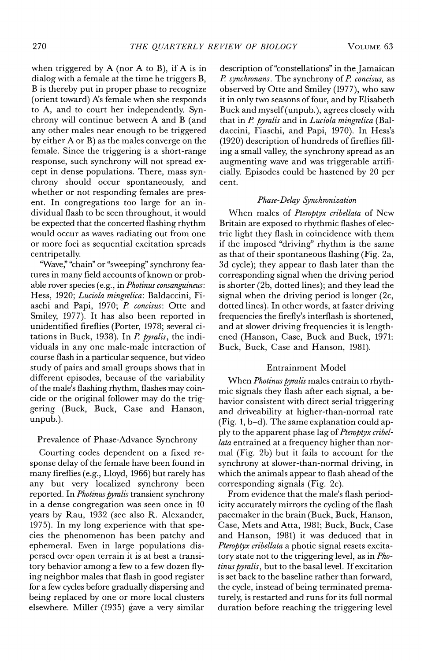when triggered by  $A$  (nor  $A$  to  $B$ ), if  $A$  is in dialog with a female at the time he triggers B, B is thereby put in proper phase to recognize (orient toward) A's female when she responds to A, and to court her independently. Synchrony will continue between A and B (and any other males near enough to be triggered by either A or B) as the males converge on the female. Since the triggering is a short-range response, such synchrony will not spread except in dense populations. There, mass synchrony should occur spontaneously, and whether or not responding females are present. In congregations too large for an individual flash to be seen throughout, it would be expected that the concerted flashing rhythm would occur as waves radiating out from one or more foci as sequential excitation spreads centripetally.

"Wave," "chain" or "sweeping" synchrony features in many field accounts of known or probable rover species (e.g., in Photinus consanguineus: Hess, 1920; Luciola mingrelica: Baldaccini, Fiaschi and Papi, 1970; P. concisus: Otte and Smiley, 1977). It has also been reported in unidentified fireflies (Porter, 1978; several citations in Buck, 1938). In  $P$ . pyralis, the individuals in any one male-male interaction of course flash in a particular sequence, but video study of pairs and small groups shows that in different episodes, because of the variability of the male's flashing rhythm, flashes may coincide or the original follower may do the triggering (Buck, Buck, Case and Hanson, unpub.).

## Prevalence of Phase-Advance Synchrony

Courting codes dependent on a fixed response delay of the female have been found in many fireflies (e.g., Lloyd, 1966) but rarely has any but very localized synchrony been reported. In Photinus pyralis transient synchrony in a dense congregation was seen once in 10 years by Rau, 1932 (see also R. Alexander, 1975). In my long experience with that species the phenomenon has been patchy and ephemeral. Even in large populations dispersed over open terrain it is at best a transitory behavior among a few to a few dozen flying neighbor males that flash in good register for a few cycles before gradually dispersing and being replaced by one or more local clusters elsewhere. Miller (1935) gave a very similar

description of "constellations" in the Jamaican P. synchronans. The synchrony of P. concisus, as observed by Otte and Smiley (1977), who saw it in only two seasons of four, and by Elisabeth Buck and myself (unpub.), agrees closely with that in P. pyralis and in Luciola mingrelica (Baldaccini, Fiaschi, and Papi, 1970). In Hess's (1920) description of hundreds of fireflies filling a small valley, the synchrony spread as an augmenting wave and was triggerable artificially. Episodes could be hastened by 20 per cent.

## Phase-Delay Synchronization

When males of Pteroptyx cribellata of New Britain are exposed to rhythmic flashes of electric light they flash in coincidence with them if the imposed "driving" rhythm is the same as that of their spontaneous flashing (Fig. 2a, 3d cycle); they appear to flash later than the corresponding signal when the driving period is shorter (2b, dotted lines); and they lead the signal when the driving period is longer (2c, dotted lines). In other words, at faster driving frequencies the firefly's interflash is shortened, and at slower driving frequencies it is lengthened (Hanson, Case, Buck and Buck, 1971: Buck, Buck, Case and Hanson, 1981).

## **Entrainment Model**

When *Photinus pyralis* males entrain to rhythmic signals they flash after each signal, a behavior consistent with direct serial triggering and driveability at higher-than-normal rate (Fig. 1, b-d). The same explanation could apply to the apparent phase lag of Pteroptyx cribellata entrained at a frequency higher than normal (Fig. 2b) but it fails to account for the synchrony at slower-than-normal driving, in which the animals appear to flash ahead of the corresponding signals (Fig. 2c).

From evidence that the male's flash periodicity accurately mirrors the cycling of the flash pacemaker in the brain (Buck, Buck, Hanson, Case, Mets and Atta, 1981; Buck, Buck, Case and Hanson, 1981) it was deduced that in Pteroptyx cribellata a photic signal resets excitatory state not to the triggering level, as in Photinus pyralis, but to the basal level. If excitation is set back to the baseline rather than forward, the cycle, instead of being terminated prematurely, is restarted and runs for its full normal duration before reaching the triggering level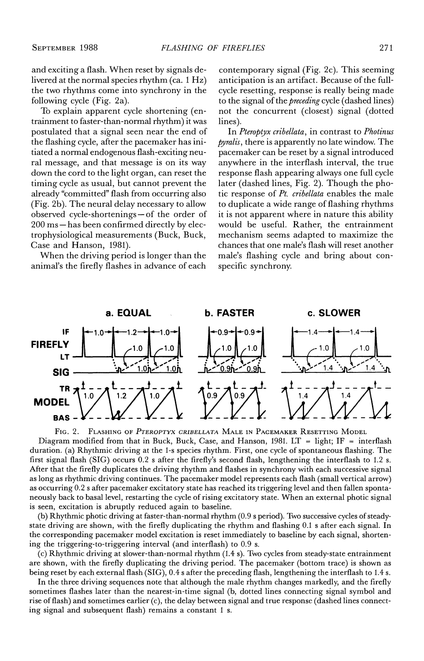and exciting a flash. When reset by signals delivered at the normal species rhythm (ca. 1 Hz) the two rhythms come into synchrony in the following cycle (Fig. 2a).

To explain apparent cycle shortening (entrainment to faster-than-normal rhythm) it was postulated that a signal seen near the end of the flashing cycle, after the pacemaker has initiated a normal endogenous flash-exciting neural message, and that message is on its way down the cord to the light organ, can reset the timing cycle as usual, but cannot prevent the already "committed" flash from occurring also (Fig. 2b). The neural delay necessary to allow observed cycle-shortenings-of the order of 200 ms – has been confirmed directly by electrophysiological measurements (Buck, Buck, Case and Hanson, 1981).

When the driving period is longer than the animal's the firefly flashes in advance of each

contemporary signal (Fig. 2c). This seeming anticipation is an artifact. Because of the fullcycle resetting, response is really being made to the signal of the *preceding* cycle (dashed lines) not the concurrent (closest) signal (dotted lines).

In Pteroptyx cribellata, in contrast to Photinus *pyralis*, there is apparently no late window. The pacemaker can be reset by a signal introduced anywhere in the interflash interval, the true response flash appearing always one full cycle later (dashed lines, Fig. 2). Though the photic response of Pt. cribellata enables the male to duplicate a wide range of flashing rhythms it is not apparent where in nature this ability would be useful. Rather, the entrainment mechanism seems adapted to maximize the chances that one male's flash will reset another male's flashing cycle and bring about conspecific synchrony.



FLASHING OF PTEROPTYX CRIBELLATA MALE IN PACEMAKER RESETTING MODEL FIG. 2. Diagram modified from that in Buck, Buck, Case, and Hanson, 1981. LT = light; IF = interflash duration. (a) Rhythmic driving at the 1-s species rhythm. First, one cycle of spontaneous flashing. The first signal flash (SIG) occurs 0.2 s after the firefly's second flash, lengthening the interflash to 1.2 s. After that the firefly duplicates the driving rhythm and flashes in synchrony with each successive signal as long as rhythmic driving continues. The pacemaker model represents each flash (small vertical arrow) as occurring 0.2 s after pacemaker excitatory state has reached its triggering level and then fallen spontaneously back to basal level, restarting the cycle of rising excitatory state. When an external photic signal is seen, excitation is abruptly reduced again to baseline.

(b) Rhythmic photic driving at faster-than-normal rhythm (0.9 s period). Two successive cycles of steadystate driving are shown, with the firefly duplicating the rhythm and flashing 0.1 s after each signal. In the corresponding pacemaker model excitation is reset immediately to baseline by each signal, shortening the triggering-to-triggering interval (and interflash) to 0.9 s.

(c) Rhythmic driving at slower-than-normal rhythm (1.4 s). Two cycles from steady-state entrainment are shown, with the firefly duplicating the driving period. The pacemaker (bottom trace) is shown as being reset by each external flash (SIG), 0.4 s after the preceding flash, lengthening the interflash to 1.4 s.

In the three driving sequences note that although the male rhythm changes markedly, and the firefly sometimes flashes later than the nearest-in-time signal (b, dotted lines connecting signal symbol and rise of flash) and sometimes earlier (c), the delay between signal and true response (dashed lines connecting signal and subsequent flash) remains a constant 1 s.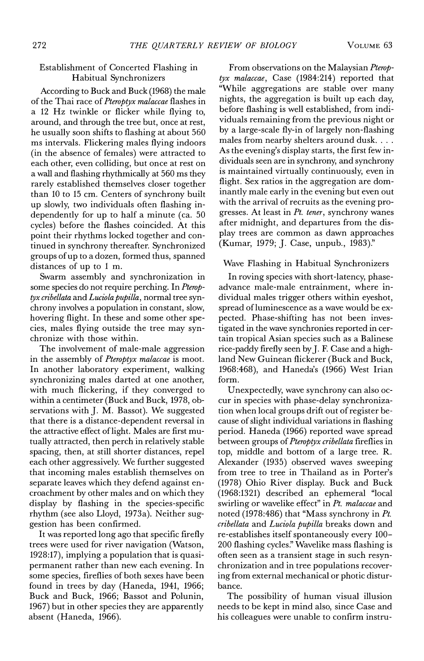## Establishment of Concerted Flashing in Habitual Synchronizers

According to Buck and Buck (1968) the male of the Thai race of Pteroptyx malaccae flashes in a 12 Hz twinkle or flicker while flying to, around, and through the tree but, once at rest, he usually soon shifts to flashing at about 560 ms intervals. Flickering males flying indoors (in the absence of females) were attracted to each other, even colliding, but once at rest on a wall and flashing rhythmically at 560 ms they rarely established themselves closer together than 10 to 15 cm. Centers of synchrony built up slowly, two individuals often flashing independently for up to half a minute (ca. 50 cycles) before the flashes coincided. At this point their rhythms locked together and continued in synchrony thereafter. Synchronized groups of up to a dozen, formed thus, spanned distances of up to 1 m.

Swarm assembly and synchronization in some species do not require perching. In Pteroptyx cribellata and Luciola pupilla, normal tree synchrony involves a population in constant, slow, hovering flight. In these and some other species, males flying outside the tree may synchronize with those within.

The involvement of male-male aggression in the assembly of Pteroptyx malaccae is moot. In another laboratory experiment, walking synchronizing males darted at one another, with much flickering, if they converged to within a centimeter (Buck and Buck, 1978, observations with J. M. Bassot). We suggested that there is a distance-dependent reversal in the attractive effect of light. Males are first mutually attracted, then perch in relatively stable spacing, then, at still shorter distances, repel each other aggressively. We further suggested that incoming males establish themselves on separate leaves which they defend against encroachment by other males and on which they display by flashing in the species-specific rhythm (see also Lloyd, 1973a). Neither suggestion has been confirmed.

It was reported long ago that specific firefly trees were used for river navigation (Watson,  $1928:17$ , implying a population that is quasipermanent rather than new each evening. In some species, fireflies of both sexes have been found in trees by day (Haneda, 1941, 1966; Buck and Buck, 1966; Bassot and Polunin, 1967) but in other species they are apparently absent (Haneda, 1966).

From observations on the Malaysian Pteroptyx malaccae, Case (1984:214) reported that "While aggregations are stable over many nights, the aggregation is built up each day, before flashing is well established, from individuals remaining from the previous night or by a large-scale fly-in of largely non-flashing males from nearby shelters around dusk. . . . As the evening's display starts, the first few individuals seen are in synchrony, and synchrony is maintained virtually continuously, even in flight. Sex ratios in the aggregation are dominantly male early in the evening but even out with the arrival of recruits as the evening progresses. At least in Pt. tener, synchrony wanes after midnight, and departures from the display trees are common as dawn approaches (Kumar, 1979; J. Case, unpub., 1983)."

## Wave Flashing in Habitual Synchronizers

In roving species with short-latency, phaseadvance male-male entrainment, where individual males trigger others within eveshot, spread of luminescence as a wave would be expected. Phase-shifting has not been investigated in the wave synchronies reported in certain tropical Asian species such as a Balinese rice-paddy firefly seen by J. F. Case and a highland New Guinean flickerer (Buck and Buck, 1968:468), and Haneda's (1966) West Irian form.

Unexpectedly, wave synchrony can also occur in species with phase-delay synchronization when local groups drift out of register because of slight individual variations in flashing period. Haneda (1966) reported wave spread between groups of Pteroptyx cribellata fireflies in top, middle and bottom of a large tree. R. Alexander (1935) observed waves sweeping from tree to tree in Thailand as in Porter's (1978) Ohio River display. Buck and Buck (1968:1321) described an ephemeral "local swirling or wavelike effect" in Pt. malaccae and noted (1978:486) that "Mass synchrony in  $Pt$ . cribellata and Luciola pupilla breaks down and re-establishes itself spontaneously every 100-200 flashing cycles." Wavelike mass flashing is often seen as a transient stage in such resynchronization and in tree populations recovering from external mechanical or photic disturbance.

The possibility of human visual illusion needs to be kept in mind also, since Case and his colleagues were unable to confirm instru-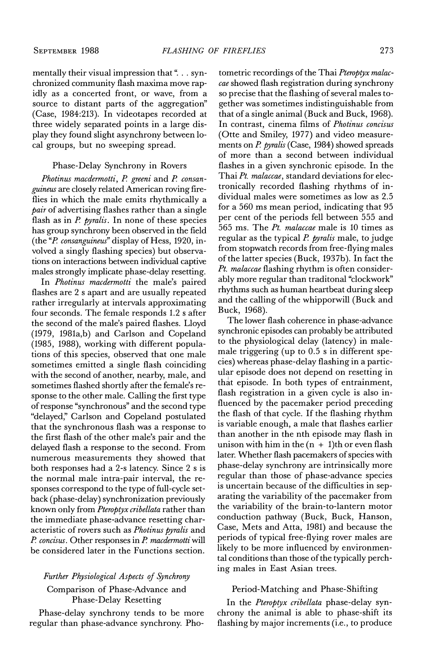mentally their visual impression that ". . . synchronized community flash maxima move rapidly as a concerted front, or wave, from a source to distant parts of the aggregation" (Case, 1984:213). In videotapes recorded at three widely separated points in a large display they found slight asynchrony between local groups, but no sweeping spread.

## Phase-Delay Synchrony in Rovers

Photinus macdermotti, P. greeni and P. consanguineus are closely related American roving fireflies in which the male emits rhythmically a pair of advertising flashes rather than a single flash as in  $P$ . pyralis. In none of these species has group synchrony been observed in the field (the "P. consanguineus" display of Hess, 1920, involved a singly flashing species) but observations on interactions between individual captive males strongly implicate phase-delay resetting.

In Photinus macdermotti the male's paired flashes are 2 s apart and are usually repeated rather irregularly at intervals approximating four seconds. The female responds 1.2 s after the second of the male's paired flashes. Lloyd (1979, 1981a,b) and Carlson and Copeland (1985, 1988), working with different populations of this species, observed that one male sometimes emitted a single flash coinciding with the second of another, nearby, male, and sometimes flashed shortly after the female's response to the other male. Calling the first type of response "synchronous" and the second type "delayed," Carlson and Copeland postulated that the synchronous flash was a response to the first flash of the other male's pair and the delayed flash a response to the second. From numerous measurements they showed that both responses had a 2-s latency. Since 2 s is the normal male intra-pair interval, the responses correspond to the type of full-cycle setback (phase-delay) synchronization previously known only from Pteroptyx cribellata rather than the immediate phase-advance resetting characteristic of rovers such as *Photinus pyralis* and P. concisus. Other responses in P. macdermotti will be considered later in the Functions section.

## Further Physiological Aspects of Synchrony Comparison of Phase-Advance and **Phase-Delay Resetting**

Phase-delay synchrony tends to be more regular than phase-advance synchrony. Pho-

tometric recordings of the Thai Pteroptyx malaccae showed flash registration during synchrony so precise that the flashing of several males together was sometimes indistinguishable from that of a single animal (Buck and Buck, 1968). In contrast, cinema films of *Photinus concisus* (Otte and Smiley, 1977) and video measurements on P. pyralis (Case, 1984) showed spreads of more than a second between individual flashes in a given synchronic episode. In the Thai Pt. malaccae, standard deviations for electronically recorded flashing rhythms of individual males were sometimes as low as 2.5 for a 560 ms mean period, indicating that 95 per cent of the periods fell between 555 and 565 ms. The Pt. malaccae male is 10 times as regular as the typical P. pyralis male, to judge from stopwatch records from free-flying males of the latter species (Buck, 1937b). In fact the Pt. malaccae flashing rhythm is often considerably more regular than traditonal "clockwork" rhythms such as human heartbeat during sleep and the calling of the whipporwill (Buck and Buck, 1968).

The lower flash coherence in phase-advance synchronic episodes can probably be attributed to the physiological delay (latency) in malemale triggering (up to 0.5 s in different species) whereas phase-delay flashing in a particular episode does not depend on resetting in that episode. In both types of entrainment, flash registration in a given cycle is also influenced by the pacemaker period preceding the flash of that cycle. If the flashing rhythm is variable enough, a male that flashes earlier than another in the nth episode may flash in unison with him in the  $(n + 1)$ th or even flash later. Whether flash pacemakers of species with phase-delay synchrony are intrinsically more regular than those of phase-advance species is uncertain because of the difficulties in separating the variability of the pacemaker from the variability of the brain-to-lantern motor conduction pathway (Buck, Buck, Hanson, Case, Mets and Atta, 1981) and because the periods of typical free-flying rover males are likely to be more influenced by environmental conditions than those of the typically perching males in East Asian trees.

## Period-Matching and Phase-Shifting

In the Pteroptyx cribellata phase-delay synchrony the animal is able to phase-shift its flashing by major increments (i.e., to produce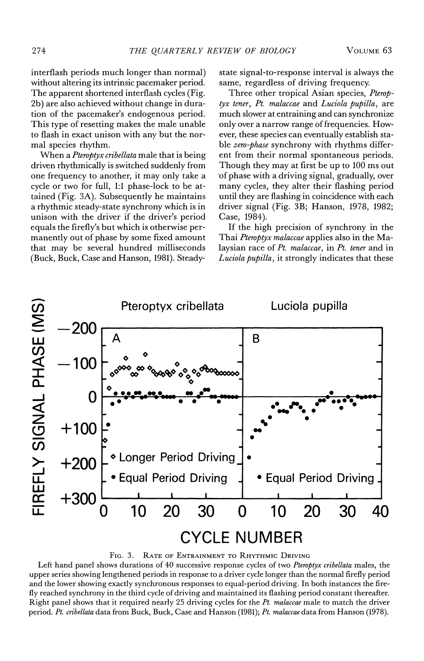interflash periods much longer than normal) without altering its intrinsic pacemaker period. The apparent shortened interflash cycles (Fig. 2b) are also achieved without change in duration of the pacemaker's endogenous period. This type of resetting makes the male unable to flash in exact unison with any but the normal species rhythm.

When a Pteroptyx cribellata male that is being driven rhythmically is switched suddenly from one frequency to another, it may only take a cycle or two for full, 1:1 phase-lock to be attained (Fig. 3A). Subsequently he maintains a rhythmic steady-state synchrony which is in unison with the driver if the driver's period equals the firefly's but which is otherwise permanently out of phase by some fixed amount that may be several hundred milliseconds (Buck, Buck, Case and Hanson, 1981). Steadystate signal-to-response interval is always the same, regardless of driving frequency.

Three other tropical Asian species, Pteroptyx tener, Pt. malaccae and Luciola pupilla, are much slower at entraining and can synchronize only over a narrow range of frequencies. However, these species can eventually establish stable zero-phase synchrony with rhythms different from their normal spontaneous periods. Though they may at first be up to 100 ms out of phase with a driving signal, gradually, over many cycles, they alter their flashing period until they are flashing in coincidence with each driver signal (Fig. 3B; Hanson, 1978, 1982; Case, 1984).

If the high precision of synchrony in the Thai *Pteroptyx malaccae* applies also in the Malaysian race of Pt. malaccae, in Pt. tener and in *Luciola pupilla*, it strongly indicates that these



FIG. 3. RATE OF ENTRAINMENT TO RHYTHMIC DRIVING

Left hand panel shows durations of 40 successive response cycles of two Pteroptyx cribellata males, the upper series showing lengthened periods in response to a driver cycle longer than the normal firefly period and the lower showing exactly synchronous responses to equal-period driving. In both instances the firefly reached synchrony in the third cycle of driving and maintained its flashing period constant thereafter. Right panel shows that it required nearly 25 driving cycles for the  $Pt$ , malaccae male to match the driver period. Pt. cribellata data from Buck, Buck, Case and Hanson (1981); Pt. malaccae data from Hanson (1978).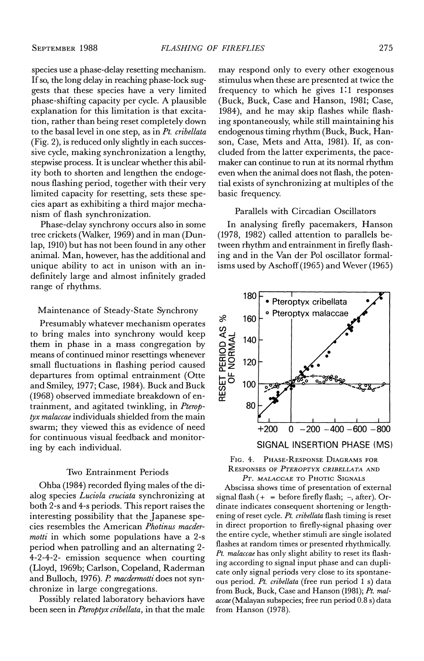species use a phase-delay resetting mechanism. If so, the long delay in reaching phase-lock suggests that these species have a very limited phase-shifting capacity per cycle. A plausible explanation for this limitation is that excitation, rather than being reset completely down to the basal level in one step, as in Pt. cribellata (Fig. 2), is reduced only slightly in each successive cycle, making synchronization a lengthy, stepwise process. It is unclear whether this ability both to shorten and lengthen the endogenous flashing period, together with their very limited capacity for resetting, sets these species apart as exhibiting a third major mechanism of flash synchronization.

Phase-delay synchrony occurs also in some tree crickets (Walker, 1969) and in man (Dunlap, 1910) but has not been found in any other animal. Man, however, has the additional and unique ability to act in unison with an indefinitely large and almost infinitely graded range of rhythms.

#### Maintenance of Steady-State Synchrony

Presumably whatever mechanism operates to bring males into synchrony would keep them in phase in a mass congregation by means of continued minor resettings whenever small fluctuations in flashing period caused departures from optimal entrainment (Otte and Smiley, 1977; Case, 1984). Buck and Buck (1968) observed immediate breakdown of entrainment, and agitated twinkling, in Pteroptyx malaccae individuals shielded from the main swarm; they viewed this as evidence of need for continuous visual feedback and monitoring by each individual.

#### Two Entrainment Periods

Ohba (1984) recorded flying males of the dialog species Luciola cruciata synchronizing at both 2-s and 4-s periods. This report raises the interesting possibility that the Japanese species resembles the American Photinus macder*motti* in which some populations have a 2-s period when patrolling and an alternating 2-4-2-4-2- emission sequence when courting (Lloyd, 1969b; Carlson, Copeland, Raderman and Bulloch, 1976). P. macdermotti does not synchronize in large congregations.

Possibly related laboratory behaviors have been seen in Pteroptyx cribellata, in that the male may respond only to every other exogenous stimulus when these are presented at twice the frequency to which he gives 1:1 responses (Buck, Buck, Case and Hanson, 1981; Case, 1984), and he may skip flashes while flashing spontaneously, while still maintaining his endogenous timing rhythm (Buck, Buck, Hanson, Case, Mets and Atta, 1981). If, as concluded from the latter experiments, the pacemaker can continue to run at its normal rhythm even when the animal does not flash, the potential exists of synchronizing at multiples of the basic frequency.

## Parallels with Circadian Oscillators

In analysing firefly pacemakers, Hanson (1978, 1982) called attention to parallels between rhythm and entrainment in firefly flashing and in the Van der Pol oscillator formalisms used by Aschoff (1965) and Wever (1965)





PT. MALACCAE TO PHOTIC SIGNALS

Abscissa shows time of presentation of external signal flash  $(+)$  = before firefly flash;  $-$ , after). Ordinate indicates consequent shortening or lengthening of reset cycle. Pt. cribellata flash timing is reset in direct proportion to firefly-signal phasing over the entire cycle, whether stimuli are single isolated flashes at random times or presented rhythmically. Pt. malaccae has only slight ability to reset its flashing according to signal input phase and can duplicate only signal periods very close to its spontaneous period. Pt. cribellata (free run period 1 s) data from Buck, Buck, Case and Hanson (1981); Pt. malaccae (Malayan subspecies; free run period 0.8 s) data from Hanson (1978).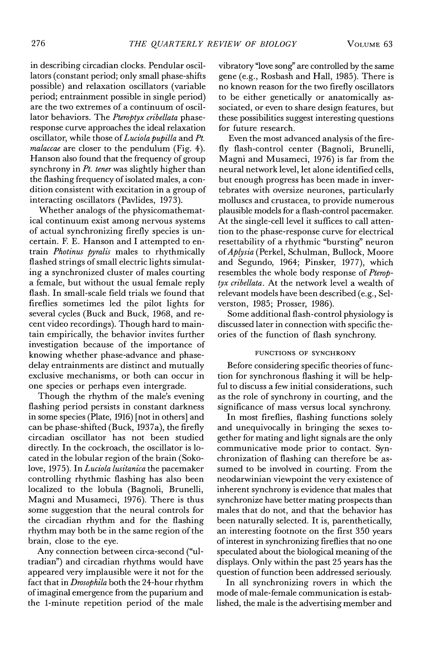VOLUME<sub>63</sub>

in describing circadian clocks. Pendular oscillators (constant period; only small phase-shifts possible) and relaxation oscillators (variable period; entrainment possible in single period) are the two extremes of a continuum of oscillator behaviors. The Pteroptyx cribellata phaseresponse curve approaches the ideal relaxation oscillator, while those of Luciola pupilla and Pt. malaccae are closer to the pendulum (Fig. 4). Hanson also found that the frequency of group synchrony in Pt. tener was slightly higher than the flashing frequency of isolated males, a condition consistent with excitation in a group of interacting oscillators (Pavlides, 1973).

Whether analogs of the physicomathematical continuum exist among nervous systems of actual synchronizing firefly species is uncertain. F. E. Hanson and I attempted to entrain *Photinus pyralis* males to rhythmically flashed strings of small electric lights simulating a synchronized cluster of males courting a female, but without the usual female reply flash. In small-scale field trials we found that fireflies sometimes led the pilot lights for several cycles (Buck and Buck, 1968, and recent video recordings). Though hard to maintain empirically, the behavior invites further investigation because of the importance of knowing whether phase-advance and phasedelay entrainments are distinct and mutually exclusive mechanisms, or both can occur in one species or perhaps even intergrade.

Though the rhythm of the male's evening flashing period persists in constant darkness in some species (Plate, 1916) [not in others] and can be phase-shifted (Buck, 1937a), the firefly circadian oscillator has not been studied directly. In the cockroach, the oscillator is located in the lobular region of the brain (Sokolove, 1975). In Luciola lusitanica the pacemaker controlling rhythmic flashing has also been localized to the lobula (Bagnoli, Brunelli, Magni and Musameci, 1976). There is thus some suggestion that the neural controls for the circadian rhythm and for the flashing rhythm may both be in the same region of the brain, close to the eye.

Any connection between circa-second ("ultradian") and circadian rhythms would have appeared very implausible were it not for the fact that in Drosophila both the 24-hour rhythm of imaginal emergence from the puparium and the 1-minute repetition period of the male

vibratory "love song" are controlled by the same gene (e.g., Rosbash and Hall, 1985). There is no known reason for the two firefly oscillators to be either genetically or anatomically associated, or even to share design features, but these possibilities suggest interesting questions for future research.

Even the most advanced analysis of the firefly flash-control center (Bagnoli, Brunelli, Magni and Musameci, 1976) is far from the neural network level, let alone identified cells. but enough progress has been made in invertebrates with oversize neurones, particularly molluscs and crustacea, to provide numerous plausible models for a flash-control pacemaker. At the single-cell level it suffices to call attention to the phase-response curve for electrical resettability of a rhythmic "bursting" neuron of Aplysia (Perkel, Schulman, Bullock, Moore and Segundo, 1964; Pinsker, 1977), which resembles the whole body response of Pteroptyx cribellata. At the network level a wealth of relevant models have been described (e.g., Selverston, 1985; Prosser, 1986).

Some additional flash-control physiology is discussed later in connection with specific theories of the function of flash synchrony.

## FUNCTIONS OF SYNCHRONY

Before considering specific theories of function for synchronous flashing it will be helpful to discuss a few initial considerations, such as the role of synchrony in courting, and the significance of mass versus local synchrony.

In most fireflies, flashing functions solely and unequivocally in bringing the sexes together for mating and light signals are the only communicative mode prior to contact. Synchronization of flashing can therefore be assumed to be involved in courting. From the neodarwinian viewpoint the very existence of inherent synchrony is evidence that males that synchronize have better mating prospects than males that do not, and that the behavior has been naturally selected. It is, parenthetically, an interesting footnote on the first 350 years of interest in synchronizing fireflies that no one speculated about the biological meaning of the displays. Only within the past 25 years has the question of function been addressed seriously.

In all synchronizing rovers in which the mode of male-female communication is established, the male is the advertising member and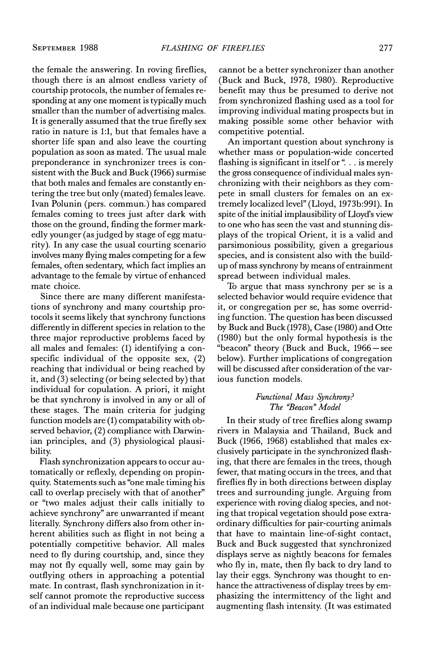the female the answering. In roving fireflies, though there is an almost endless variety of courtship protocols, the number of females responding at any one moment is typically much smaller than the number of advertising males. It is generally assumed that the true firefly sex ratio in nature is 1:1, but that females have a shorter life span and also leave the courting population as soon as mated. The usual male preponderance in synchronizer trees is consistent with the Buck and Buck (1966) surmise that both males and females are constantly entering the tree but only (mated) females leave. Ivan Polunin (pers. commun.) has compared females coming to trees just after dark with those on the ground, finding the former markedly younger (as judged by stage of egg maturity). In any case the usual courting scenario involves many flying males competing for a few females, often sedentary, which fact implies an advantage to the female by virtue of enhanced mate choice.

Since there are many different manifestations of synchrony and many courtship protocols it seems likely that synchrony functions differently in different species in relation to the three major reproductive problems faced by all males and females: (1) identifying a conspecific individual of the opposite sex,  $(2)$ reaching that individual or being reached by it, and (3) selecting (or being selected by) that individual for copulation. A priori, it might be that synchrony is involved in any or all of these stages. The main criteria for judging function models are (1) compatability with observed behavior, (2) compliance with Darwinian principles, and (3) physiological plausibility.

Flash synchronization appears to occur automatically or reflexly, depending on propinquity. Statements such as "one male timing his call to overlap precisely with that of another" or "two males adjust their calls initially to achieve synchrony" are unwarranted if meant literally. Synchrony differs also from other inherent abilities such as flight in not being a potentially competitive behavior. All males need to fly during courtship, and, since they may not fly equally well, some may gain by outflying others in approaching a potential mate. In contrast, flash synchronization in itself cannot promote the reproductive success of an individual male because one participant

cannot be a better synchronizer than another (Buck and Buck, 1978, 1980). Reproductive benefit may thus be presumed to derive not from synchronized flashing used as a tool for improving individual mating prospects but in making possible some other behavior with competitive potential.

An important question about synchrony is whether mass or population-wide concerted flashing is significant in itself or ". . . is merely the gross consequence of individual males synchronizing with their neighbors as they compete in small clusters for females on an extremely localized level" (Lloyd, 1973b:991). In spite of the initial implausibility of Lloyd's view to one who has seen the vast and stunning displays of the tropical Orient, it is a valid and parsimonious possibility, given a gregarious species, and is consistent also with the buildup of mass synchrony by means of entrainment spread between individual males.

To argue that mass synchrony per se is a selected behavior would require evidence that it, or congregation per se, has some overriding function. The question has been discussed by Buck and Buck (1978), Case (1980) and Otte (1980) but the only formal hypothesis is the "beacon" theory (Buck and Buck, 1966 – see below). Further implications of congregation will be discussed after consideration of the various function models.

## Functional Mass Synchrony? The "Beacon" Model

In their study of tree fireflies along swamp rivers in Malaysia and Thailand, Buck and Buck (1966, 1968) established that males exclusively participate in the synchronized flashing, that there are females in the trees, though fewer, that mating occurs in the trees, and that fireflies fly in both directions between display trees and surrounding jungle. Arguing from experience with roving dialog species, and noting that tropical vegetation should pose extraordinary difficulties for pair-courting animals that have to maintain line-of-sight contact, Buck and Buck suggested that synchronized displays serve as nightly beacons for females who fly in, mate, then fly back to dry land to lay their eggs. Synchrony was thought to enhance the attractiveness of display trees by emphasizing the intermittency of the light and augmenting flash intensity. (It was estimated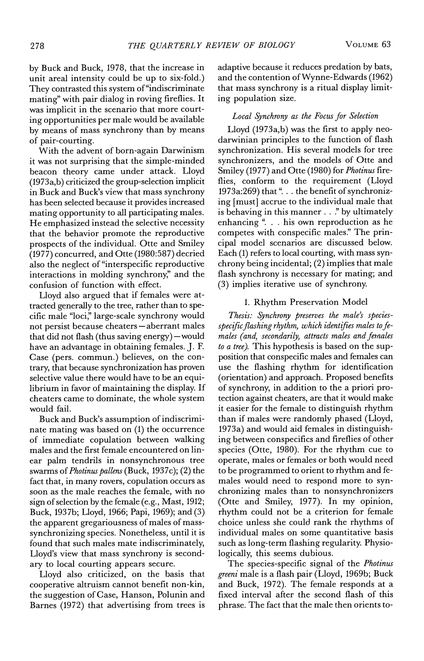by Buck and Buck, 1978, that the increase in unit areal intensity could be up to six-fold.) They contrasted this system of "indiscriminate mating" with pair dialog in roving fireflies. It was implicit in the scenario that more courting opportunities per male would be available by means of mass synchrony than by means of pair-courting.

With the advent of born-again Darwinism it was not surprising that the simple-minded beacon theory came under attack. Lloyd  $(1973a,b)$  criticized the group-selection implicit in Buck and Buck's view that mass synchrony has been selected because it provides increased mating opportunity to all participating males. He emphasized instead the selective necessity that the behavior promote the reproductive prospects of the individual. Otte and Smiley (1977) concurred, and Otte (1980:587) decried also the neglect of "interspecific reproductive interactions in molding synchrony," and the confusion of function with effect.

Lloyd also argued that if females were attracted generally to the tree, rather than to specific male "loci," large-scale synchrony would not persist because cheaters-aberrant males that did not flash (thus saving energy) - would have an advantage in obtaining females. J. F. Case (pers. commun.) believes, on the contrary, that because synchronization has proven selective value there would have to be an equilibrium in favor of maintaining the display. If cheaters came to dominate, the whole system would fail.

Buck and Buck's assumption of indiscriminate mating was based on (1) the occurrence of immediate copulation between walking males and the first female encountered on linear palm tendrils in nonsynchronous tree swarms of Photinus pallens (Buck, 1937c); (2) the fact that, in many rovers, copulation occurs as soon as the male reaches the female, with no sign of selection by the female (e.g., Mast, 1912; Buck, 1937b; Lloyd, 1966; Papi, 1969); and (3) the apparent gregariousness of males of masssynchronizing species. Nonetheless, until it is found that such males mate indiscriminately, Lloyd's view that mass synchrony is secondary to local courting appears secure.

Lloyd also criticized, on the basis that cooperative altruism cannot benefit non-kin, the suggestion of Case, Hanson, Polunin and Barnes (1972) that advertising from trees is adaptive because it reduces predation by bats, and the contention of Wynne-Edwards (1962) that mass synchrony is a ritual display limiting population size.

## Local Synchrony as the Focus for Selection

Lloyd (1973a,b) was the first to apply neodarwinian principles to the function of flash synchronization. His several models for tree synchronizers, and the models of Otte and Smiley (1977) and Otte (1980) for Photinus fireflies, conform to the requirement (Lloyd 1973a:269) that ". . . the benefit of synchronizing [must] accrue to the individual male that is behaving in this manner . . ." by ultimately enhancing ". . . his own reproduction as he competes with conspecific males." The principal model scenarios are discussed below. Each (1) refers to local courting, with mass synchrony being incidental; (2) implies that male flash synchrony is necessary for mating; and (3) implies iterative use of synchrony.

## 1. Rhythm Preservation Model

Thesis: Synchrony preserves the male's speciesspecific flashing rhythm, which identifies males to females (and, secondarily, attracts males and females to a tree). This hypothesis is based on the supposition that conspecific males and females can use the flashing rhythm for identification (orientation) and approach. Proposed benefits of synchrony, in addition to the a priori protection against cheaters, are that it would make it easier for the female to distinguish rhythm than if males were randomly phased (Lloyd, 1973a) and would aid females in distinguishing between conspecifics and fireflies of other species (Otte, 1980). For the rhythm cue to operate, males or females or both would need to be programmed to orient to rhythm and females would need to respond more to synchronizing males than to nonsynchronizers (Otte and Smiley, 1977). In my opinion, rhythm could not be a criterion for female choice unless she could rank the rhythms of individual males on some quantitative basis such as long-term flashing regularity. Physiologically, this seems dubious.

The species-specific signal of the Photinus greeni male is a flash pair (Lloyd, 1969b; Buck and Buck, 1972). The female responds at a fixed interval after the second flash of this phrase. The fact that the male then orients to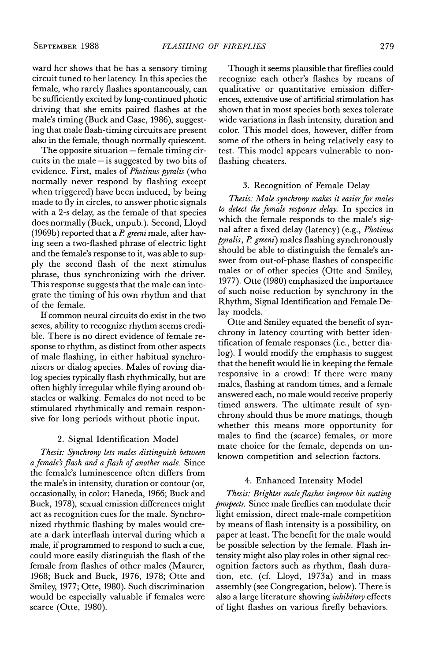ward her shows that he has a sensory timing circuit tuned to her latency. In this species the female, who rarely flashes spontaneously, can be sufficiently excited by long-continued photic driving that she emits paired flashes at the male's timing (Buck and Case, 1986), suggesting that male flash-timing circuits are present also in the female, though normally quiescent.

The opposite situation - female timing circuits in the male  $-$  is suggested by two bits of evidence. First, males of Photinus pyralis (who normally never respond by flashing except when triggered) have been induced, by being made to fly in circles, to answer photic signals with a 2-s delay, as the female of that species does normally (Buck, unpub.). Second, Lloyd (1969b) reported that a  $P$ . greeni male, after having seen a two-flashed phrase of electric light and the female's response to it, was able to supply the second flash of the next stimulus phrase, thus synchronizing with the driver. This response suggests that the male can integrate the timing of his own rhythm and that of the female.

If common neural circuits do exist in the two sexes, ability to recognize rhythm seems credible. There is no direct evidence of female response to rhythm, as distinct from other aspects of male flashing, in either habitual synchronizers or dialog species. Males of roving dialog species typically flash rhythmically, but are often highly irregular while flying around obstacles or walking. Females do not need to be stimulated rhythmically and remain responsive for long periods without photic input.

## 2. Signal Identification Model

Thesis: Synchrony lets males distinguish between a female's flash and a flash of another male. Since the female's luminescence often differs from the male's in intensity, duration or contour (or, occasionally, in color: Haneda, 1966; Buck and Buck, 1978), sexual emission differences might act as recognition cues for the male. Synchronized rhythmic flashing by males would create a dark interflash interval during which a male, if programmed to respond to such a cue, could more easily distinguish the flash of the female from flashes of other males (Maurer, 1968; Buck and Buck, 1976, 1978; Otte and Smiley, 1977; Otte, 1980). Such discrimination would be especially valuable if females were scarce (Otte, 1980).

Though it seems plausible that fireflies could recognize each other's flashes by means of qualitative or quantitative emission differences, extensive use of artificial stimulation has shown that in most species both sexes tolerate wide variations in flash intensity, duration and color. This model does, however, differ from some of the others in being relatively easy to test. This model appears vulnerable to nonflashing cheaters.

## 3. Recognition of Female Delay

Thesis: Male synchrony makes it easier for males to detect the female response delay. In species in which the female responds to the male's signal after a fixed delay (latency) (e.g., Photinus *pyralis, P. greeni*) males flashing synchronously should be able to distinguish the female's answer from out-of-phase flashes of conspecific males or of other species (Otte and Smiley, 1977). Otte (1980) emphasized the importance of such noise reduction by synchrony in the Rhythm, Signal Identification and Female Delay models.

Otte and Smiley equated the benefit of synchrony in latency courting with better identification of female responses (i.e., better dialog). I would modify the emphasis to suggest that the benefit would lie in keeping the female responsive in a crowd: If there were many males, flashing at random times, and a female answered each, no male would receive properly timed answers. The ultimate result of synchrony should thus be more matings, though whether this means more opportunity for males to find the (scarce) females, or more mate choice for the female, depends on unknown competition and selection factors.

#### 4. Enhanced Intensity Model

Thesis: Brighter male flashes improve his mating prospects. Since male fireflies can modulate their light emission, direct male-male competition by means of flash intensity is a possibility, on paper at least. The benefit for the male would be possible selection by the female. Flash intensity might also play roles in other signal recognition factors such as rhythm, flash duration, etc. (cf. Lloyd, 1973a) and in mass assembly (see Congregation, below). There is also a large literature showing *inhibitory* effects of light flashes on various firefly behaviors.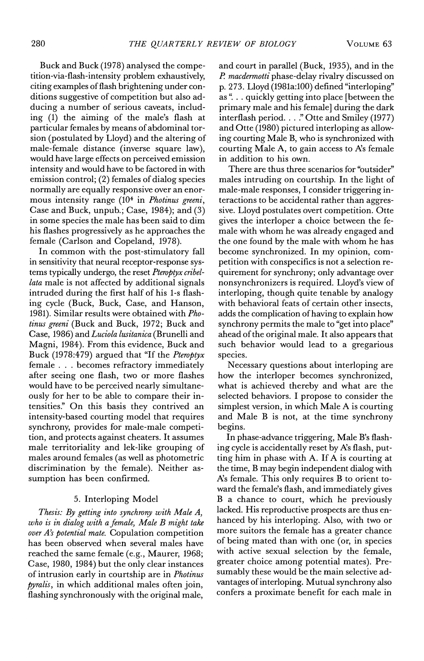Buck and Buck (1978) analysed the competition-via-flash-intensity problem exhaustively, citing examples of flash brightening under conditions suggestive of competition but also adducing a number of serious caveats, including (1) the aiming of the male's flash at particular females by means of abdominal torsion (postulated by Lloyd) and the altering of male-female distance (inverse square law), would have large effects on perceived emission intensity and would have to be factored in with emission control; (2) females of dialog species normally are equally responsive over an enormous intensity range (10<sup>4</sup> in *Photinus greeni*, Case and Buck, unpub.; Case, 1984); and (3) in some species the male has been said to dim his flashes progressively as he approaches the female (Carlson and Copeland, 1978).

In common with the post-stimulatory fall in sensitivity that neural receptor-response systems typically undergo, the reset Pteroptyx cribellata male is not affected by additional signals intruded during the first half of his 1-s flashing cycle (Buck, Buck, Case, and Hanson, 1981). Similar results were obtained with Photinus greeni (Buck and Buck, 1972; Buck and Case, 1986) and Luciola lusitanica (Brunelli and Magni, 1984). From this evidence, Buck and Buck (1978:479) argued that "If the Pteroptyx" female . . . becomes refractory immediately after seeing one flash, two or more flashes would have to be perceived nearly simultaneously for her to be able to compare their intensities." On this basis they contrived an intensity-based courting model that requires synchrony, provides for male-male competition, and protects against cheaters. It assumes male territoriality and lek-like grouping of males around females (as well as photometric discrimination by the female). Neither assumption has been confirmed.

## 5. Interloping Model

Thesis: By getting into synchrony with Male A, who is in dialog with a female, Male B might take over A's potential mate. Copulation competition has been observed when several males have reached the same female (e.g., Maurer, 1968; Case, 1980, 1984) but the only clear instances of intrusion early in courtship are in Photinus pyralis, in which additional males often join, flashing synchronously with the original male,

and court in parallel (Buck, 1935), and in the P. macdermotti phase-delay rivalry discussed on p. 273. Lloyd (1981a:100) defined "interloping" as "... quickly getting into place (between the primary male and his female] during the dark interflash period. . . ." Otte and Smiley (1977) and Otte (1980) pictured interloping as allowing courting Male B, who is synchronized with courting Male A, to gain access to A's female in addition to his own.

There are thus three scenarios for "outsider" males intruding on courtship. In the light of male-male responses, I consider triggering interactions to be accidental rather than aggressive. Lloyd postulates overt competition. Otte gives the interloper a choice between the female with whom he was already engaged and the one found by the male with whom he has become synchronized. In my opinion, competition with conspecifics is not a selection requirement for synchrony; only advantage over nonsynchronizers is required. Lloyd's view of interloping, though quite tenable by analogy with behavioral feats of certain other insects, adds the complication of having to explain how synchrony permits the male to "get into place" ahead of the original male. It also appears that such behavior would lead to a gregarious species.

Necessary questions about interloping are how the interloper becomes synchronized, what is achieved thereby and what are the selected behaviors. I propose to consider the simplest version, in which Male A is courting and Male B is not, at the time synchrony begins.

In phase-advance triggering, Male B's flashing cycle is accidentally reset by A's flash, putting him in phase with A. If A is courting at the time, B may begin independent dialog with A's female. This only requires B to orient toward the female's flash, and immediately gives B a chance to court, which he previously lacked. His reproductive prospects are thus enhanced by his interloping. Also, with two or more suitors the female has a greater chance of being mated than with one (or, in species with active sexual selection by the female, greater choice among potential mates). Presumably these would be the main selective advantages of interloping. Mutual synchrony also confers a proximate benefit for each male in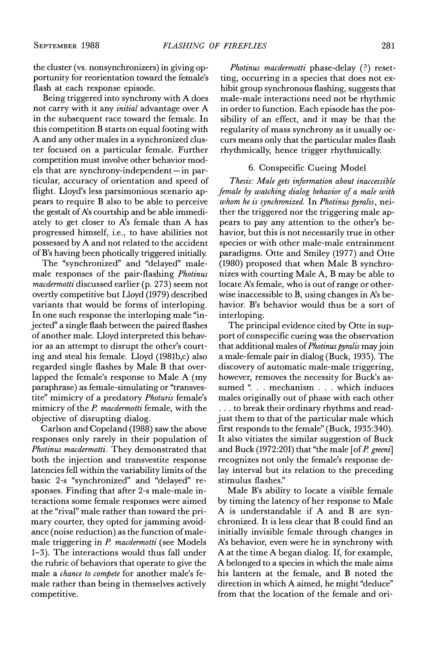the cluster (vs. nonsynchronizers) in giving opportunity for reorientation toward the female's flash at each response episode.

Being triggered into synchrony with A does not carry with it any *initial* advantage over A in the subsequent race toward the female. In this competition B starts on equal footing with A and any other males in a synchronized cluster focused on a particular female. Further competition must involve other behavior models that are synchrony-independent-in particular, accuracy of orientation and speed of flight. Lloyd's less parsimonious scenario appears to require B also to be able to perceive the gestalt of A's courtship and be able immediately to get closer to A's female than A has progressed himself, i.e., to have abilities not possessed by A and not related to the accident of B's having been photically triggered initially.

The "synchronized" and "delayed" malemale responses of the pair-flashing Photinus *macdermotti* discussed earlier (p. 273) seem not overtly competitive but Lloyd (1979) described variants that would be forms of interloping. In one such response the interloping male "injected" a single flash between the paired flashes of another male. Lloyd interpreted this behavior as an attempt to disrupt the other's courting and steal his female. Lloyd (1981b,c) also regarded single flashes by Male B that overlapped the female's response to Male A (my paraphrase) as female-simulating or "transvestite" mimicry of a predatory Photuris female's mimicry of the P. macdermotti female, with the objective of disrupting dialog.

Carlson and Copeland (1988) saw the above responses only rarely in their population of Photinus macdermotti. They demonstrated that both the injection and transvestite response latencies fell within the variability limits of the basic 2-s "synchronized" and "delayed" responses. Finding that after 2-s male-male interactions some female responses were aimed at the "rival" male rather than toward the primary courter, they opted for jamming avoidance (noise reduction) as the function of malemale triggering in P. macdermotti (see Models 1-3). The interactions would thus fall under the rubric of behaviors that operate to give the male a chance to compete for another male's female rather than being in themselves actively competitive.

*Photinus macdermotti* phase-delay (?) resetting, occurring in a species that does not exhibit group synchronous flashing, suggests that male-male interactions need not be rhythmic in order to function. Each episode has the possibility of an effect, and it may be that the regularity of mass synchrony as it usually occurs means only that the particular males flash rhythmically, hence trigger rhythmically.

## 6. Conspecific Cueing Model

Thesis: Male gets information about inaccessible female by watching dialog behavior of a male with whom he is synchronized. In Photinus pyralis, neither the triggered nor the triggering male appears to pay any attention to the other's behavior, but this is not necessarily true in other species or with other male-male entrainment paradigms. Otte and Smiley (1977) and Otte (1980) proposed that when Male B synchronizes with courting Male A, B may be able to locate A's female, who is out of range or otherwise inaccessible to B, using changes in A's behavior. B's behavior would thus be a sort of interloping.

The principal evidence cited by Otte in support of conspecific cueing was the observation that additional males of *Photinus pyralis* may join a male-female pair in dialog (Buck, 1935). The discovery of automatic male-male triggering, however, removes the necessity for Buck's assumed ". . . mechanism . . . which induces males originally out of phase with each other ... to break their ordinary rhythms and readjust them to that of the particular male which first responds to the female" (Buck, 1935:340). It also vitiates the similar suggestion of Buck and Buck (1972:201) that "the male [of  $P$ . greeni] recognizes not only the female's response delay interval but its relation to the preceding stimulus flashes."

Male B's ability to locate a visible female by timing the latency of her response to Male A is understandable if A and B are synchronized. It is less clear that B could find an initially invisible female through changes in A's behavior, even were he in synchrony with A at the time A began dialog. If, for example, A belonged to a species in which the male aims his lantern at the female, and B noted the direction in which A aimed, he might "deduce" from that the location of the female and ori-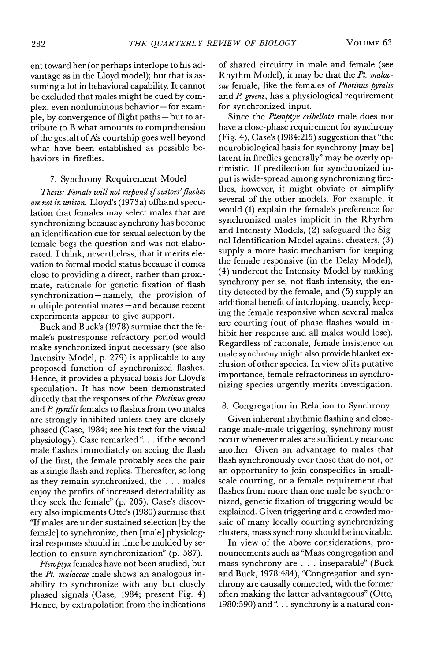VOLUME<sub>63</sub>

ent toward her (or perhaps interlope to his advantage as in the Lloyd model); but that is assuming a lot in behavioral capability. It cannot be excluded that males might be cued by complex, even nonluminous behavior - for example, by convergence of flight paths - but to attribute to B what amounts to comprehension of the gestalt of A's courtship goes well beyond what have been established as possible behaviors in fireflies.

## 7. Synchrony Requirement Model

Thesis: Female will not respond if suitors' flashes are not in unison. Lloyd's (1973a) offhand speculation that females may select males that are synchronizing because synchrony has become an identification cue for sexual selection by the female begs the question and was not elaborated. I think, nevertheless, that it merits elevation to formal model status because it comes close to providing a direct, rather than proximate, rationale for genetic fixation of flash synchronization-namely, the provision of multiple potential mates-and because recent experiments appear to give support.

Buck and Buck's (1978) surmise that the female's postresponse refractory period would make synchronized input necessary (see also Intensity Model, p. 279) is applicable to any proposed function of synchronized flashes. Hence, it provides a physical basis for Lloyd's speculation. It has now been demonstrated directly that the responses of the Photinus greeni and P. pyralis females to flashes from two males are strongly inhibited unless they are closely phased (Case, 1984; see his text for the visual physiology). Case remarked ". . . if the second male flashes immediately on seeing the flash of the first, the female probably sees the pair as a single flash and replies. Thereafter, so long as they remain synchronized, the . . . males enjoy the profits of increased detectability as they seek the female" (p. 205). Case's discovery also implements Otte's (1980) surmise that "If males are under sustained selection [by the female] to synchronize, then [male] physiological responses should in time be molded by selection to ensure synchronization" (p. 587).

Pteroptyx females have not been studied, but the Pt. malaccae male shows an analogous inability to synchronize with any but closely phased signals (Case, 1984; present Fig. 4) Hence, by extrapolation from the indications of shared circuitry in male and female (see Rhythm Model), it may be that the Pt. malaccae female, like the females of Photinus pyralis and P. greeni, has a physiological requirement for synchronized input.

Since the Pteroptyx cribellata male does not have a close-phase requirement for synchrony (Fig. 4), Case's (1984:215) suggestion that "the neurobiological basis for synchrony [may be] latent in fireflies generally" may be overly optimistic. If predilection for synchronized input is wide-spread among synchronizing fireflies, however, it might obviate or simplify several of the other models. For example, it would (1) explain the female's preference for synchronized males implicit in the Rhythm and Intensity Models, (2) safeguard the Signal Identification Model against cheaters, (3) supply a more basic mechanism for keeping the female responsive (in the Delay Model), (4) undercut the Intensity Model by making synchrony per se, not flash intensity, the entity detected by the female, and (5) supply an additional benefit of interloping, namely, keeping the female responsive when several males are courting (out-of-phase flashes would inhibit her response and all males would lose). Regardless of rationale, female insistence on male synchrony might also provide blanket exclusion of other species. In view of its putative importance, female refractoriness in synchronizing species urgently merits investigation.

## 8. Congregation in Relation to Synchrony

Given inherent rhythmic flashing and closerange male-male triggering, synchrony must occur whenever males are sufficiently near one another. Given an advantage to males that flash synchronously over those that do not, or an opportunity to join conspecifics in smallscale courting, or a female requirement that flashes from more than one male be synchronized, genetic fixation of triggering would be explained. Given triggering and a crowded mosaic of many locally courting synchronizing clusters, mass synchrony should be inevitable.

In view of the above considerations, pronouncements such as "Mass congregation and mass synchrony are . . . inseparable" (Buck and Buck, 1978:484), "Congregation and synchrony are causally connected, with the former often making the latter advantageous" (Otte, 1980:590) and ". . . synchrony is a natural con-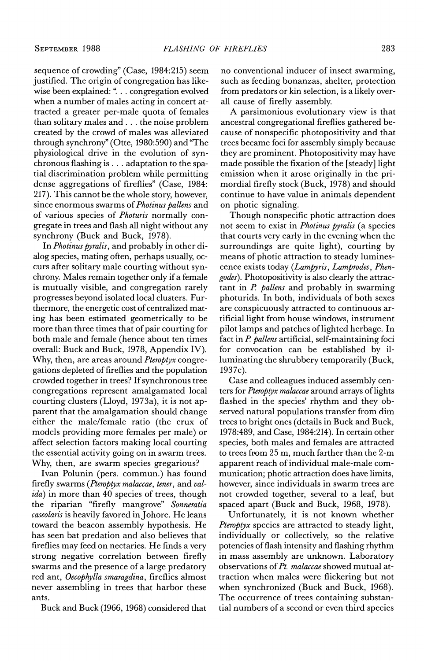sequence of crowding" (Case, 1984:215) seem justified. The origin of congregation has likewise been explained: ". . . congregation evolved when a number of males acting in concert attracted a greater per-male quota of females than solitary males and . . . the noise problem created by the crowd of males was alleviated through synchrony" (Otte, 1980:590) and "The physiological drive in the evolution of synchronous flashing is . . . adaptation to the spatial discrimination problem while permitting dense aggregations of fireflies" (Case, 1984: 217). This cannot be the whole story, however, since enormous swarms of *Photinus pallens* and of various species of Photuris normally congregate in trees and flash all night without any synchrony (Buck and Buck, 1978).

In Photinus pyralis, and probably in other dialog species, mating often, perhaps usually, occurs after solitary male courting without synchrony. Males remain together only if a female is mutually visible, and congregation rarely progresses beyond isolated local clusters. Furthermore, the energetic cost of centralized mating has been estimated geometrically to be more than three times that of pair courting for both male and female (hence about ten times overall: Buck and Buck, 1978, Appendix IV). Why, then, are areas around *Pteroptyx* congregations depleted of fireflies and the population crowded together in trees? If synchronous tree congregations represent amalgamated local courting clusters (Lloyd, 1973a), it is not apparent that the amalgamation should change either the male/female ratio (the crux of models providing more females per male) or affect selection factors making local courting the essential activity going on in swarm trees. Why, then, are swarm species gregarious?

Ivan Polunin (pers. commun.) has found firefly swarms (Pteroptyx malaccae, tener, and val*ida*) in more than 40 species of trees, though the riparian "firefly mangrove" Sonneratia caseolaris is heavily favored in Johore. He leans toward the beacon assembly hypothesis. He has seen bat predation and also believes that fireflies may feed on nectaries. He finds a very strong negative correlation between firefly swarms and the presence of a large predatory red ant, Oecophylla smaragdina, fireflies almost never assembling in trees that harbor these ants.

Buck and Buck (1966, 1968) considered that

no conventional inducer of insect swarming, such as feeding bonanzas, shelter, protection from predators or kin selection, is a likely overall cause of firefly assembly.

A parsimonious evolutionary view is that ancestral congregational fireflies gathered because of nonspecific photopositivity and that trees became foci for assembly simply because they are prominent. Photopositivity may have made possible the fixation of the [steady] light emission when it arose originally in the primordial firefly stock (Buck, 1978) and should continue to have value in animals dependent on photic signaling.

Though nonspecific photic attraction does not seem to exist in *Photinus pyralis* (a species that courts very early in the evening when the surroundings are quite light), courting by means of photic attraction to steady lumines cence exists today (Lampyris, Lamprodes, Phengodes). Photopositivity is also clearly the attractant in  $P$ . pallens and probably in swarming photurids. In both, individuals of both sexes are conspicuously attracted to continuous artificial light from house windows, instrument pilot lamps and patches of lighted herbage. In fact in P. pallens artificial, self-maintaining foci for convocation can be established by illuminating the shrubbery temporarily (Buck, 1937c).

Case and colleagues induced assembly centers for Pteroptyx malaccae around arrays of lights flashed in the species' rhythm and they observed natural populations transfer from dim trees to bright ones (details in Buck and Buck, 1978:489, and Case, 1984:214). In certain other species, both males and females are attracted to trees from 25 m, much farther than the 2-m apparent reach of individual male-male communication; photic attraction does have limits, however, since individuals in swarm trees are not crowded together, several to a leaf, but spaced apart (Buck and Buck, 1968, 1978).

Unfortunately, it is not known whether Pteroptyx species are attracted to steady light, individually or collectively, so the relative potencies of flash intensity and flashing rhythm in mass assembly are unknown. Laboratory observations of Pt. malaccae showed mutual attraction when males were flickering but not when synchronized (Buck and Buck, 1968). The occurrence of trees containing substantial numbers of a second or even third species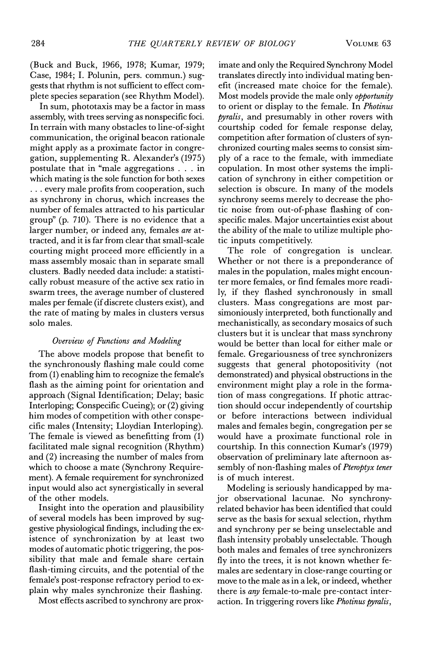VOLUME<sub>63</sub>

(Buck and Buck, 1966, 1978; Kumar, 1979; Case, 1984; I. Polunin, pers. commun.) suggests that rhythm is not sufficient to effect complete species separation (see Rhythm Model).

In sum, phototaxis may be a factor in mass assembly, with trees serving as nonspecific foci. In terrain with many obstacles to line-of-sight communication, the original beacon rationale might apply as a proximate factor in congregation, supplementing R. Alexander's (1975) postulate that in "male aggregations . . . in which mating is the sole function for both sexes ... every male profits from cooperation, such as synchrony in chorus, which increases the number of females attracted to his particular group" (p. 710). There is no evidence that a larger number, or indeed any, females are attracted, and it is far from clear that small-scale courting might proceed more efficiently in a mass assembly mosaic than in separate small clusters. Badly needed data include: a statistically robust measure of the active sex ratio in swarm trees, the average number of clustered males per female (if discrete clusters exist), and the rate of mating by males in clusters versus solo males.

## Overview of Functions and Modeling

The above models propose that benefit to the synchronously flashing male could come from (1) enabling him to recognize the female's flash as the aiming point for orientation and approach (Signal Identification; Delay; basic Interloping; Conspecific Cueing); or (2) giving him modes of competition with other conspecific males (Intensity; Lloydian Interloping). The female is viewed as benefitting from (1) facilitated male signal recognition (Rhythm) and  $(2)$  increasing the number of males from which to choose a mate (Synchrony Requirement). A female requirement for synchronized input would also act synergistically in several of the other models.

Insight into the operation and plausibility of several models has been improved by suggestive physiological findings, including the existence of synchronization by at least two modes of automatic photic triggering, the possibility that male and female share certain flash-timing circuits, and the potential of the female's post-response refractory period to explain why males synchronize their flashing.

Most effects ascribed to synchrony are prox-

imate and only the Required Synchrony Model translates directly into individual mating benefit (increased mate choice for the female). Most models provide the male only *opportunity* to orient or display to the female. In Photinus *pyralis*, and presumably in other rovers with courtship coded for female response delay, competition after formation of clusters of synchronized courting males seems to consist simply of a race to the female, with immediate copulation. In most other systems the implication of synchrony in either competition or selection is obscure. In many of the models synchrony seems merely to decrease the photic noise from out-of-phase flashing of conspecific males. Major uncertainties exist about the ability of the male to utilize multiple photic inputs competitively.

The role of congregation is unclear. Whether or not there is a preponderance of males in the population, males might encounter more females, or find females more readily, if they flashed synchronously in small clusters. Mass congregations are most parsimoniously interpreted, both functionally and mechanistically, as secondary mosaics of such clusters but it is unclear that mass synchrony would be better than local for either male or female. Gregariousness of tree synchronizers suggests that general photopositivity (not demonstrated) and physical obstructions in the environment might play a role in the formation of mass congregations. If photic attraction should occur independently of courtship or before interactions between individual males and females begin, congregation per se would have a proximate functional role in courtship. In this connection Kumar's (1979) observation of preliminary late afternoon assembly of non-flashing males of Pteroptyx tener is of much interest.

Modeling is seriously handicapped by maior observational lacunae. No synchronyrelated behavior has been identified that could serve as the basis for sexual selection, rhythm and synchrony per se being unselectable and flash intensity probably unselectable. Though both males and females of tree synchronizers fly into the trees, it is not known whether females are sedentary in close-range courting or move to the male as in a lek, or indeed, whether there is *any* female-to-male pre-contact interaction. In triggering rovers like *Photinus pyralis*,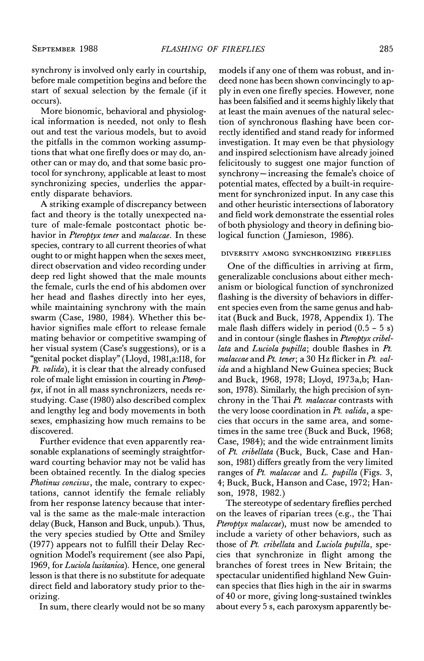synchrony is involved only early in courtship, before male competition begins and before the start of sexual selection by the female (if it occurs).

More bionomic, behavioral and physiological information is needed, not only to flesh out and test the various models, but to avoid the pitfalls in the common working assumptions that what one firefly does or may do, another can or may do, and that some basic protocol for synchrony, applicable at least to most synchronizing species, underlies the apparently disparate behaviors.

A striking example of discrepancy between fact and theory is the totally unexpected nature of male-female postcontact photic behavior in Pteroptyx tener and malaccae. In these species, contrary to all current theories of what ought to or might happen when the sexes meet, direct observation and video recording under deep red light showed that the male mounts the female, curls the end of his abdomen over her head and flashes directly into her eyes, while maintaining synchrony with the main swarm (Case, 1980, 1984). Whether this behavior signifies male effort to release female mating behavior or competitive swamping of her visual system (Case's suggestions), or is a "genital pocket display" (Lloyd, 1981, a:118, for Pt. valida), it is clear that the already confused role of male light emission in courting in Pterop $t\gamma x$ , if not in all mass synchronizers, needs restudying. Case (1980) also described complex and lengthy leg and body movements in both sexes, emphasizing how much remains to be discovered.

Further evidence that even apparently reasonable explanations of seemingly straightforward courting behavior may not be valid has been obtained recently. In the dialog species Photinus concisus, the male, contrary to expectations, cannot identify the female reliably from her response latency because that interval is the same as the male-male interaction delay (Buck, Hanson and Buck, unpub.). Thus, the very species studied by Otte and Smiley (1977) appears not to fulfill their Delay Recognition Model's requirement (see also Papi, 1969, for Luciola lusitanica). Hence, one general lesson is that there is no substitute for adequate direct field and laboratory study prior to theorizing.

In sum, there clearly would not be so many

models if any one of them was robust, and indeed none has been shown convincingly to apply in even one firefly species. However, none has been falsified and it seems highly likely that at least the main avenues of the natural selection of synchronous flashing have been correctly identified and stand ready for informed investigation. It may even be that physiology and inspired selectionism have already joined felicitously to suggest one major function of synchrony-increasing the female's choice of potential mates, effected by a built-in requirement for synchronized input. In any case this and other heuristic intersections of laboratory and field work demonstrate the essential roles of both physiology and theory in defining biological function (Jamieson, 1986).

#### DIVERSITY AMONG SYNCHRONIZING FIREFLIES

One of the difficulties in arriving at firm, generalizable conclusions about either mechanism or biological function of synchronized flashing is the diversity of behaviors in different species even from the same genus and habitat (Buck and Buck, 1978, Appendix 1). The male flash differs widely in period  $(0.5 - 5 s)$ and in contour (single flashes in Pteroptyx cribellata and Luciola pupilla; double flashes in Pt. malaccae and Pt. tener; a 30 Hz flicker in Pt. valida and a highland New Guinea species; Buck and Buck, 1968, 1978; Lloyd, 1973a,b; Hanson, 1978). Similarly, the high precision of synchrony in the Thai Pt. malaccae contrasts with the very loose coordination in  $Pt$ . valida, a species that occurs in the same area, and sometimes in the same tree (Buck and Buck, 1968; Case, 1984); and the wide entrainment limits of Pt. cribellata (Buck, Buck, Case and Hanson, 1981) differs greatly from the very limited ranges of Pt. malaccae and L. pupilla (Figs. 3, 4; Buck, Buck, Hanson and Case, 1972; Hanson, 1978, 1982.)

The stereotype of sedentary fireflies perched on the leaves of riparian trees (e.g., the Thai Pteroptyx malaccae), must now be amended to include a variety of other behaviors, such as those of Pt. cribellata and Luciola pupilla, species that synchronize in flight among the branches of forest trees in New Britain; the spectacular unidentified highland New Guinean species that flies high in the air in swarms of 40 or more, giving long-sustained twinkles about every 5 s, each paroxysm apparently be-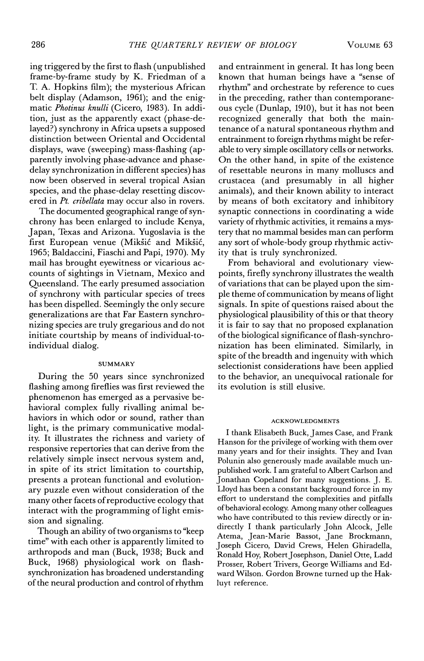ing triggered by the first to flash (unpublished frame-by-frame study by K. Friedman of a T. A. Hopkins film); the mysterious African belt display (Adamson, 1961); and the enigmatic Photinus knulli (Cicero, 1983). In addition, just as the apparently exact (phase-delayed?) synchrony in Africa upsets a supposed distinction between Oriental and Occidental displays, wave (sweeping) mass-flashing (apparently involving phase-advance and phasedelay synchronization in different species) has now been observed in several tropical Asian species, and the phase-delay resetting discovered in Pt. cribellata may occur also in rovers.

The documented geographical range of synchrony has been enlarged to include Kenya, Japan, Texas and Arizona. Yugoslavia is the first European venue (Mikšić and Mikšić, 1965; Baldaccini, Fiaschi and Papi, 1970). My mail has brought eyewitness or vicarious accounts of sightings in Vietnam, Mexico and Queensland. The early presumed association of synchrony with particular species of trees has been dispelled. Seemingly the only secure generalizations are that Far Eastern synchronizing species are truly gregarious and do not initiate courtship by means of individual-toindividual dialog.

#### **SUMMARY**

During the 50 years since synchronized flashing among fireflies was first reviewed the phenomenon has emerged as a pervasive behavioral complex fully rivalling animal behaviors in which odor or sound, rather than light, is the primary communicative modality. It illustrates the richness and variety of responsive repertories that can derive from the relatively simple insect nervous system and, in spite of its strict limitation to courtship, presents a protean functional and evolutionary puzzle even without consideration of the many other facets of reproductive ecology that interact with the programming of light emission and signaling.

Though an ability of two organisms to "keep time" with each other is apparently limited to arthropods and man (Buck, 1938; Buck and Buck, 1968) physiological work on flashsynchronization has broadened understanding of the neural production and control of rhythm

and entrainment in general. It has long been known that human beings have a "sense of rhythm" and orchestrate by reference to cues in the preceding, rather than contemporaneous cycle (Dunlap, 1910), but it has not been recognized generally that both the maintenance of a natural spontaneous rhythm and entrainment to foreign rhythms might be referable to very simple oscillatory cells or networks. On the other hand, in spite of the existence of resettable neurons in many molluscs and crustacea (and presumably in all higher animals), and their known ability to interact by means of both excitatory and inhibitory synaptic connections in coordinating a wide variety of rhythmic activities, it remains a mystery that no mammal besides man can perform any sort of whole-body group rhythmic activity that is truly synchronized.

From behavioral and evolutionary viewpoints, firefly synchrony illustrates the wealth of variations that can be played upon the simple theme of communication by means of light signals. In spite of questions raised about the physiological plausibility of this or that theory it is fair to say that no proposed explanation of the biological significance of flash-synchronization has been eliminated. Similarly, in spite of the breadth and ingenuity with which selectionist considerations have been applied to the behavior, an unequivocal rationale for its evolution is still elusive.

#### **ACKNOWLEDGMENTS**

I thank Elisabeth Buck, James Case, and Frank Hanson for the privilege of working with them over many years and for their insights. They and Ivan Polunin also generously made available much unpublished work. I am grateful to Albert Carlson and Jonathan Copeland for many suggestions. J. E. Lloyd has been a constant background force in my effort to understand the complexities and pitfalls of behavioral ecology. Among many other colleagues who have contributed to this review directly or indirectly I thank particularly John Alcock, Jelle Atema, Jean-Marie Bassot, Jane Brockmann, Joseph Cicero, David Crews, Helen Ghiradella, Ronald Hoy, Robert Josephson, Daniel Otte, Ladd Prosser, Robert Trivers, George Williams and Edward Wilson. Gordon Browne turned up the Hakluyt reference.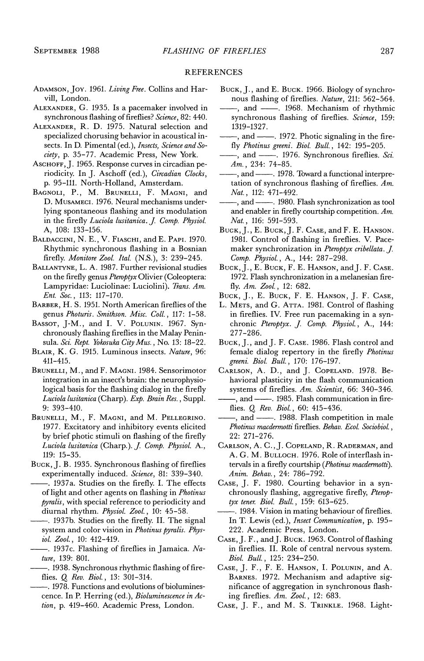#### **REFERENCES**

- ADAMSON, JOY. 1961. Living Free. Collins and Harvill, London.
- ALEXANDER, G. 1935. Is a pacemaker involved in synchronous flashing of fireflies? Science, 82: 440.
- ALEXANDER, R. D. 1975. Natural selection and specialized chorusing behavior in acoustical insects. In D. Pimental (ed.), Insects, Science and Society, p. 35-77. Academic Press, New York.
- ASCHOFF, J. 1965. Response curves in circadian periodicity. In J. Aschoff (ed.), Circadian Clocks, p. 95-111. North-Holland, Amsterdam.
- BAGNOLI, P., M. BRUNELLI, F. MAGNI, and D. MUSAMECI. 1976. Neural mechanisms underlying spontaneous flashing and its modulation in the firefly Luciola lusitanica. J. Comp. Physiol. A, 108: 133-156.
- BALDACCINI, N. E., V. FIASCHI, and E. PAPI. 1970. Rhythmic synchronous flashing in a Bosnian firefly. Monitore Zool. Ital. (N.S.), 3: 239-245.
- BALLANTYNE, L. A. 1987. Further revisional studies on the firefly genus Pteroptyx Olivier (Coleoptera: Lampyridae: Luciolinae: Luciolini). Trans. Am. Ent. Soc., 113: 117-170.
- BARBER, H. S. 1951. North American fireflies of the genus Photuris. Smithson. Misc. Coll., 117: 1-58.
- BASSOT, J-M., and I. V. POLUNIN. 1967. Synchronously flashing fireflies in the Malay Peninsula. Sci. Rept. Yokosuka City Mus., No. 13: 18-22.
- BLAIR, K. G. 1915. Luminous insects. Nature, 96:  $411 - 415.$
- BRUNELLI, M., and F. MAGNI. 1984. Sensorimotor integration in an insect's brain: the neurophysiological basis for the flashing dialog in the firefly Luciola lusitanica (Charp). Exp. Brain Res., Suppl.  $9: 393 - 410.$
- BRUNELLI, M., F. MAGNI, and M. PELLEGRINO. 1977. Excitatory and inhibitory events elicited by brief photic stimuli on flashing of the firefly Luciola lusitanica (Charp.). J. Comp. Physiol. A.,  $119: 15-35.$
- BUCK, J. B. 1935. Synchronous flashing of fireflies experimentally induced. Science, 81: 339-340.
- . 1937a. Studies on the firefly. I. The effects of light and other agents on flashing in Photinus pyralis, with special reference to periodicity and diurnal rhythm. Physiol. Zool., 10: 45-58.
- -. 1937b. Studies on the firefly. II. The signal system and color vision in Photinus pyralis. Physiol. Zool., 10: 412-419.
- 1937c. Flashing of fireflies in Jamaica. Nature, 139: 801.
- -. 1938. Synchronous rhythmic flashing of fireflies. Q. Rev. Biol., 13: 301-314.
- 1978. Functions and evolutions of bioluminescence. In P. Herring (ed.), Bioluminescence in Action, p. 419-460. Academic Press, London.
- BUCK, J., and E. BUCK. 1966. Biology of synchronous flashing of fireflies. Nature, 211: 562-564.
- -, and --- 1968. Mechanism of rhythmic synchronous flashing of fireflies. Science, 159: 1319-1327.
- -, and --- 1972. Photic signaling in the firefly Photinus greeni. Biol. Bull., 142: 195-205.
- -, and --- 1976. Synchronous fireflies. Sci.  $Am.$ , 234: 74-85.
- -, and --- 1978. Toward a functional interpretation of synchronous flashing of fireflies.  $Am$ . Nat., 112: 471-492.
- -, and ----- 1980. Flash synchronization as tool and enabler in firefly courtship competition.  $Am$ . Nat., 116: 591-593.
- BUCK, J., E. BUCK, J. F. CASE, and F. E. HANSON. 1981. Control of flashing in fireflies. V. Pacemaker synchronization in Pteroptyx cribellata. J. Comp. Physiol., A., 144: 287-298.
- BUCK, J., E. BUCK, F. E. HANSON, and J. F. CASE. 1972. Flash synchronization in a melanesian firefly. Am. Zool., 12: 682.
- BUCK, J., E. BUCK, F. E. HANSON, J. F. CASE,
- L. METS, and G. ATTA. 1981. Control of flashing in fireflies. IV. Free run pacemaking in a synchronic Pteroptyx. J. Comp. Physiol., A., 144: 277-286.
- BUCK, J., and J. F. CASE. 1986. Flash control and female dialog repertory in the firefly Photinus greeni Biol. Bull., 170: 176-197.
- CARLSON, A. D., and J. COPELAND. 1978. Behavioral plasticity in the flash communication systems of fireflies. Am. Scientist, 66: 340-346. -, and ----- 1985. Flash communication in fire-
- flies. Q. Rev. Biol., 60: 415-436.
- -, and --- 1988. Flash competition in male Photinus macdermotti fireflies. Behav. Ecol. Sociobiol., 22: 271–276.
- CARLSON, A. C., J. COPELAND, R. RADERMAN, and A. G. M. BULLOCH. 1976. Role of interflash intervals in a firefly courtship (Photinus macdermotti). Anim. Behav., 24: 786-792.
- CASE, J. F. 1980. Courting behavior in a synchronously flashing, aggregative firefly, Pteroptyx tener. Biol. Bull., 159: 613-625.
- -. 1984. Vision in mating behaviour of fireflies. In T. Lewis (ed.), Insect Communication, p. 195-222. Academic Press, London.
- CASE, J. F., and J. BUCK. 1963. Control of flashing in fireflies. II. Role of central nervous system. Biol. Bull., 125: 234-250.
- CASE, J. F., F. E. HANSON, I. POLUNIN, and A. BARNES. 1972. Mechanism and adaptive significance of aggregation in synchronous flashing fireflies. Am. Zool., 12: 683.
- CASE, J. F., and M. S. TRINKLE. 1968. Light-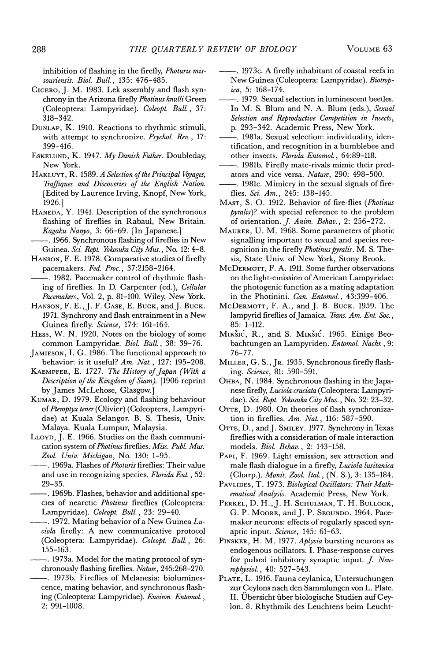inhibition of flashing in the firefly, Photuris missouriensis. Biol. Bull., 135: 476-485.

- CICERO, J. M. 1983. Lek assembly and flash synchrony in the Arizona firefly Photinus knulli Green (Coleoptera: Lampyridae). Coleopt. Bull., 37:  $318 - 342.$
- DUNLAP, K. 1910. Reactions to rhythmic stimuli, with attempt to synchronize. Psychol. Rev., 17: 399-416.
- ESKELUND, K. 1947. My Danish Father. Doubleday, New York.
- HAKLUYT, R. 1589. A Selection of the Principal Voyages, Traffiques and Discoveries of the English Nation. [Edited by Laurence Irving, Knopf, New York, 1926.1
- HANEDA, Y. 1941. Description of the synchronous flashing of fireflies in Rabaul, New Britain. Kagaku Nanyo, 3: 66-69. [In Japanese.]
- -. 1966. Synchronous flashing of fireflies in New Guinea. Sci. Rept. Yokosuka City Mus., No. 12: 4-8.
- HANSON, F. E. 1978. Comparative studies of firefly pacemakers. Fed. Proc., 37:2158-2164.
- 1982. Pacemaker control of rhythmic flashing of fireflies. In D. Carpenter (ed.), Cellular Pacemakers, Vol. 2, p. 81-100. Wiley, New York.
- HANSON, F. E., J. F. CASE, E. BUCK, and J. BUCK. 1971. Synchrony and flash entrainment in a New Guinea firefly. Science, 174: 161-164.
- HESS, W. N. 1920. Notes on the biology of some common Lampyridae. Biol. Bull., 38: 39-76.
- JAMIESON, I. G. 1986. The functional approach to behavior: is it useful? Am. Nat., 127: 195-208.
- KAEMPFER, E. 1727. The History of Japan (With a Description of the Kingdom of Siam). [1906 reprint by James McLehose, Glasgow.]
- KUMAR, D. 1979. Ecology and flashing behaviour of Pteroptyx tener (Olivier) (Coleoptera, Lampyridae) at Kuala Selangor. B. S. Thesis, Univ. Malaya. Kuala Lumpur, Malaysia.
- LLOYD, J. E. 1966. Studies on the flash communication system of Photinus fireflies. Misc. Publ. Mus. Zool. Univ. Michigan, No. 130: 1-95.
- -. 1969a. Flashes of Photuris fireflies: Their value and use in recognizing species. Florida Ent., 52:  $29 - 35.$
- -. 1969b. Flashes, behavior and additional species of nearctic Photinus fireflies (Coleoptera: Lampyridae). Coleopt. Bull., 23: 29-40.
- -. 1972. Mating behavior of a New Guinea Luciola firefly: A new communicative protocol (Coleoptera: Lampyridae). Coleopt. Bull., 26:  $155 - 163.$
- 1973a. Model for the mating protocol of synchronously flashing fireflies. Nature, 245:268-270.
- -. 1973b. Fireflies of Melanesia: bioluminescence, mating behavior, and synchronous flashing (Coleoptera: Lampyridae). Environ. Entomol.,  $2: 991 - 1008.$
- -. 1973c. A firefly inhabitant of coastal reefs in New Guinea (Coleoptera: Lampyridae). Biotropica, 5: 168-174.
- -. 1979. Sexual selection in luminescent beetles. In M. S. Blum and N. A. Blum (eds.), Sexual Selection and Reproductive Competition in Insects, p. 293-342. Academic Press, New York.
- -. 1981a. Sexual selection: individuality, identification, and recognition in a bumblebee and other insects. Florida Entomol., 64:89-118.
- -. 1981b. Firefly mate-rivals mimic their predators and vice versa. Nature, 290: 498-500.
- . 1981c. Mimicry in the sexual signals of fireflies. Sci. Am., 245: 138-145.
- MAST, S. O. 1912. Behavior of fire-flies (Photinus pyralis)? with special reference to the problem of orientation. J. Anim. Behav., 2: 256-272.
- MAURER, U. M. 1968. Some parameters of photic signalling important to sexual and species recognition in the firefly Photinus pyralis. M. S. Thesis, State Univ. of New York, Stony Brook.
- McDERMOTT, F. A. 1911. Some further observations on the light-emission of American Lampyridae: the photogenic function as a mating adaptation in the Photinini. Can. Entomol., 43:399-406.
- MCDERMOTT, F. A., and J. B. BUCK. 1959. The lampyrid fireflies of Jamaica. Trans. Am. Ent. Soc.,  $85: 1-112.$
- MIKŠIĆ, R., and S. MIKŠIĆ. 1965. Einige Beobachtungen an Lampyriden. Entomol. Nachr., 9: 76–77.
- MILLER, G. S., JR. 1935. Synchronous firefly flashing. Science, 81: 590-591.
- Онва, N. 1984. Synchronous flashing in the Japanese firefly, Luciola cruciata (Coleoptera: Lampyridae). Sci. Rept. Yokosuka City Mus., No. 32: 23-32.
- OTTE, D. 1980. On theories of flash synchronization in fireflies.  $Am. Nat.$ , 116: 587-590.
- OTTE, D., and J. SMILEY. 1977. Synchrony in Texas fireflies with a consideration of male interaction models. Biol. Behav., 2: 143-158.
- PAPI, F. 1969. Light emission, sex attraction and male flash dialogue in a firefly, Luciola lusitanica (Charp.). Monit. Zool. Ital., (N. S.), 3: 135-184.
- PAVLIDES, T. 1973. Biological Oscillators: Their Mathematical Analysis. Academic Press, New York.
- PERKEL, D. H., J. H. SCHULMAN, T. H. BULLOCK, G. P. MOORE, and J. P. SEGUNDO. 1964. Pacemaker neurons: effects of regularly spaced synaptic input. Science, 145: 61-63.
- PINSKER, H. M. 1977. Aplysia bursting neurons as endogenous ocillators. I. Phase-response curves for pulsed inhibitory synaptic input. J. Neurophysiol., 40: 527-543.
- PLATE, L. 1916. Fauna ceylanica, Untersuchungen zur Ceylons nach den Sammlungen von L. Plate. II. Übersicht über biologische Studien auf Ceylon. 8. Rhythmik des Leuchtens beim Leucht-